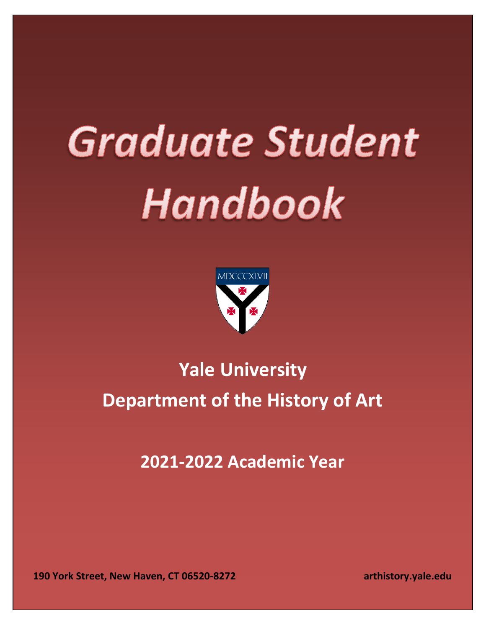# **Graduate Student** Handbook



# **Yale University Department of the History of Art**

**2021-2022 Academic Year**

**190 York Street, New Haven, CT 06520-8272 arthistory.yale.edu**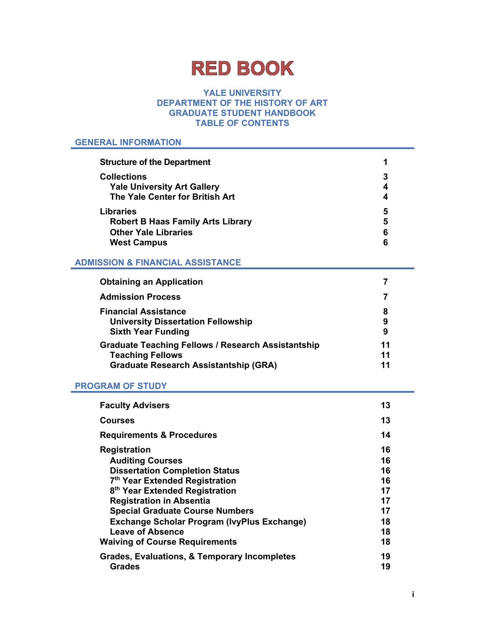# **RED BOOK**

#### **YALE UNIVERSITY DEPARTMENT OF THE HISTORY OF ART GRADUATE STUDENT HANDBOOK TABLE OF CONTENTS**

#### **GENERAL INFORMATION**

| <b>Structure of the Department</b>       |   |
|------------------------------------------|---|
| <b>Collections</b>                       |   |
| <b>Yale University Art Gallery</b>       |   |
| The Yale Center for British Art          |   |
| <b>Libraries</b>                         | 5 |
| <b>Robert B Haas Family Arts Library</b> | 5 |
| <b>Other Yale Libraries</b>              | 6 |
| <b>West Campus</b>                       |   |

### **ADMISSION & FINANCIAL ASSISTANCE**

| <b>Obtaining an Application</b>                           |    |
|-----------------------------------------------------------|----|
| <b>Admission Process</b>                                  | 7  |
| <b>Financial Assistance</b>                               | 8  |
| <b>University Dissertation Fellowship</b>                 | 9  |
| <b>Sixth Year Funding</b>                                 | 9  |
| <b>Graduate Teaching Fellows / Research Assistantship</b> | 11 |
| <b>Teaching Fellows</b>                                   | 11 |
| <b>Graduate Research Assistantship (GRA)</b>              | 11 |

#### **PROGRAM OF STUDY**

| <b>Faculty Advisers</b>                                                                                                                                                                                                                                                                                                                                                             | 13                                                       |
|-------------------------------------------------------------------------------------------------------------------------------------------------------------------------------------------------------------------------------------------------------------------------------------------------------------------------------------------------------------------------------------|----------------------------------------------------------|
| <b>Courses</b>                                                                                                                                                                                                                                                                                                                                                                      | 13                                                       |
| <b>Requirements &amp; Procedures</b>                                                                                                                                                                                                                                                                                                                                                | 14                                                       |
| <b>Registration</b><br><b>Auditing Courses</b><br><b>Dissertation Completion Status</b><br>7 <sup>th</sup> Year Extended Registration<br>8 <sup>th</sup> Year Extended Registration<br><b>Registration in Absentia</b><br><b>Special Graduate Course Numbers</b><br><b>Exchange Scholar Program (IvyPlus Exchange)</b><br>Leave of Absence<br><b>Waiving of Course Requirements</b> | 16<br>16<br>16<br>16<br>17<br>17<br>17<br>18<br>18<br>18 |
| <b>Grades, Evaluations, &amp; Temporary Incompletes</b><br><b>Grades</b>                                                                                                                                                                                                                                                                                                            | 19<br>19                                                 |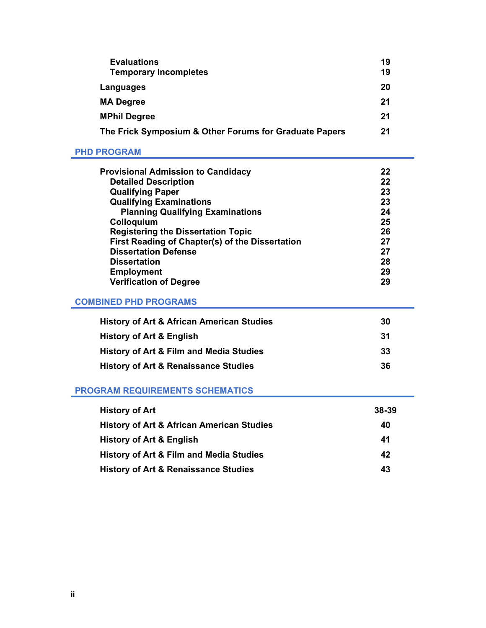| <b>Evaluations</b>                                     | 19 |
|--------------------------------------------------------|----|
| <b>Temporary Incompletes</b>                           | 19 |
| Languages                                              | 20 |
| <b>MA Degree</b>                                       | 21 |
| <b>MPhil Degree</b>                                    | 21 |
| The Frick Symposium & Other Forums for Graduate Papers | 21 |

#### **PHD PROGRAM**

| <b>Provisional Admission to Candidacy</b><br><b>Detailed Description</b><br>22<br><b>Qualifying Paper</b><br>23<br><b>Qualifying Examinations</b><br>23<br><b>Planning Qualifying Examinations</b><br>24<br>Colloquium<br>25<br><b>Registering the Dissertation Topic</b><br>26 |  |
|---------------------------------------------------------------------------------------------------------------------------------------------------------------------------------------------------------------------------------------------------------------------------------|--|
|                                                                                                                                                                                                                                                                                 |  |
|                                                                                                                                                                                                                                                                                 |  |
|                                                                                                                                                                                                                                                                                 |  |
|                                                                                                                                                                                                                                                                                 |  |
|                                                                                                                                                                                                                                                                                 |  |
|                                                                                                                                                                                                                                                                                 |  |
| First Reading of Chapter(s) of the Dissertation<br>27                                                                                                                                                                                                                           |  |
| <b>Dissertation Defense</b><br>27                                                                                                                                                                                                                                               |  |
| <b>Dissertation</b><br>28                                                                                                                                                                                                                                                       |  |
| <b>Employment</b><br>29                                                                                                                                                                                                                                                         |  |
| <b>Verification of Degree</b><br>29                                                                                                                                                                                                                                             |  |

### **COMBINED PHD PROGRAMS**

| <b>History of Art &amp; African American Studies</b> | 30  |
|------------------------------------------------------|-----|
| <b>History of Art &amp; English</b>                  | -31 |
| <b>History of Art &amp; Film and Media Studies</b>   | -33 |
| <b>History of Art &amp; Renaissance Studies</b>      | 36  |

### **PROGRAM REQUIREMENTS SCHEMATICS**

| <b>History of Art</b>                                | 38-39 |
|------------------------------------------------------|-------|
| <b>History of Art &amp; African American Studies</b> | 40    |
| History of Art & English                             | 41    |
| <b>History of Art &amp; Film and Media Studies</b>   | 42    |
| <b>History of Art &amp; Renaissance Studies</b>      | 43    |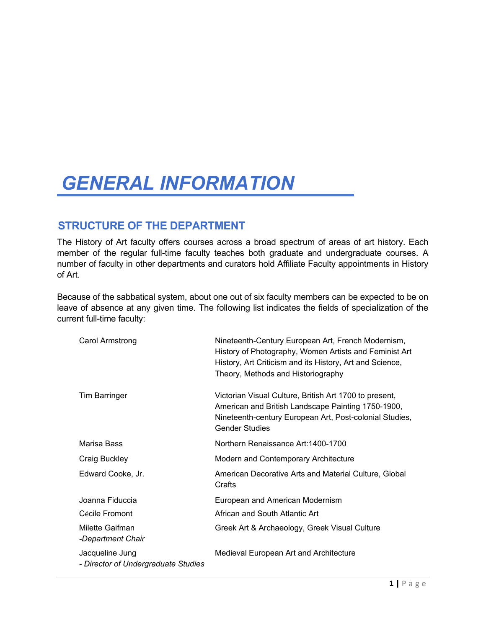# *GENERAL INFORMATION*

# **STRUCTURE OF THE DEPARTMENT**

The History of Art faculty offers courses across a broad spectrum of areas of art history. Each member of the regular full-time faculty teaches both graduate and undergraduate courses. A number of faculty in other departments and curators hold Affiliate Faculty appointments in History of Art.

Because of the sabbatical system, about one out of six faculty members can be expected to be on leave of absence at any given time. The following list indicates the fields of specialization of the current full-time faculty:

| Carol Armstrong                                        | Nineteenth-Century European Art, French Modernism,<br>History of Photography, Women Artists and Feminist Art<br>History, Art Criticism and its History, Art and Science,<br>Theory, Methods and Historiography |
|--------------------------------------------------------|----------------------------------------------------------------------------------------------------------------------------------------------------------------------------------------------------------------|
| <b>Tim Barringer</b>                                   | Victorian Visual Culture, British Art 1700 to present,<br>American and British Landscape Painting 1750-1900,<br>Nineteenth-century European Art, Post-colonial Studies,<br><b>Gender Studies</b>               |
| Marisa Bass                                            | Northern Renaissance Art:1400-1700                                                                                                                                                                             |
| Craig Buckley                                          | Modern and Contemporary Architecture                                                                                                                                                                           |
| Edward Cooke, Jr.                                      | American Decorative Arts and Material Culture, Global<br>Crafts                                                                                                                                                |
| Joanna Fiduccia                                        | European and American Modernism                                                                                                                                                                                |
| Cécile Fromont                                         | African and South Atlantic Art                                                                                                                                                                                 |
| Milette Gaifman<br>-Department Chair                   | Greek Art & Archaeology, Greek Visual Culture                                                                                                                                                                  |
| Jacqueline Jung<br>- Director of Undergraduate Studies | Medieval European Art and Architecture                                                                                                                                                                         |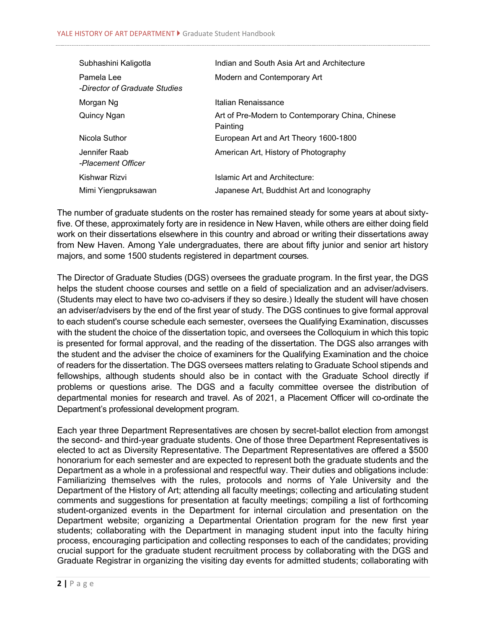| Subhashini Kaligotla                        | Indian and South Asia Art and Architecture                   |
|---------------------------------------------|--------------------------------------------------------------|
| Pamela Lee<br>-Director of Graduate Studies | Modern and Contemporary Art                                  |
| Morgan Ng                                   | Italian Renaissance                                          |
| Quincy Ngan                                 | Art of Pre-Modern to Contemporary China, Chinese<br>Painting |
| Nicola Suthor                               | European Art and Art Theory 1600-1800                        |
| Jennifer Raab<br>-Placement Officer         | American Art, History of Photography                         |
| Kishwar Rizvi                               | Islamic Art and Architecture:                                |
| Mimi Yiengpruksawan                         | Japanese Art, Buddhist Art and Iconography                   |

The number of graduate students on the roster has remained steady for some years at about sixtyfive. Of these, approximately forty are in residence in New Haven, while others are either doing field work on their dissertations elsewhere in this country and abroad or writing their dissertations away from New Haven. Among Yale undergraduates, there are about fifty junior and senior art history majors, and some 1500 students registered in department courses.

The Director of Graduate Studies (DGS) oversees the graduate program. In the first year, the DGS helps the student choose courses and settle on a field of specialization and an adviser/advisers. (Students may elect to have two co-advisers if they so desire.) Ideally the student will have chosen an adviser/advisers by the end of the first year of study. The DGS continues to give formal approval to each student's course schedule each semester, oversees the Qualifying Examination, discusses with the student the choice of the dissertation topic, and oversees the Colloquium in which this topic is presented for formal approval, and the reading of the dissertation. The DGS also arranges with the student and the adviser the choice of examiners for the Qualifying Examination and the choice of readers for the dissertation. The DGS oversees matters relating to Graduate School stipends and fellowships, although students should also be in contact with the Graduate School directly if problems or questions arise. The DGS and a faculty committee oversee the distribution of departmental monies for research and travel. As of 2021, a Placement Officer will co-ordinate the Department's professional development program.

Each year three Department Representatives are chosen by secret-ballot election from amongst the second- and third-year graduate students. One of those three Department Representatives is elected to act as Diversity Representative. The Department Representatives are offered a \$500 honorarium for each semester and are expected to represent both the graduate students and the Department as a whole in a professional and respectful way. Their duties and obligations include: Familiarizing themselves with the rules, protocols and norms of Yale University and the Department of the History of Art; attending all faculty meetings; collecting and articulating student comments and suggestions for presentation at faculty meetings; compiling a list of forthcoming student-organized events in the Department for internal circulation and presentation on the Department website; organizing a Departmental Orientation program for the new first year students; collaborating with the Department in managing student input into the faculty hiring process, encouraging participation and collecting responses to each of the candidates; providing crucial support for the graduate student recruitment process by collaborating with the DGS and Graduate Registrar in organizing the visiting day events for admitted students; collaborating with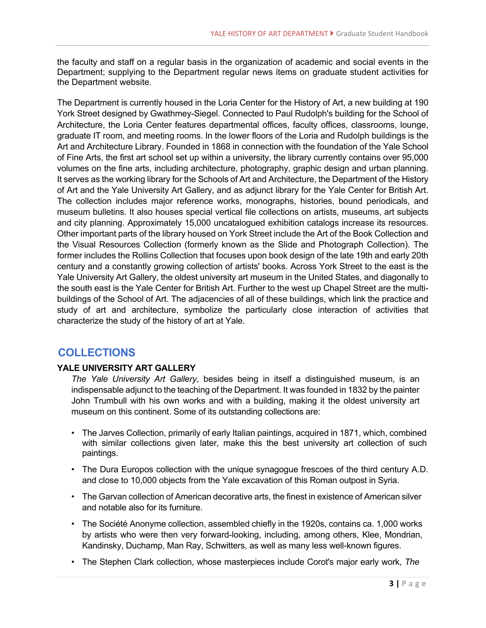the faculty and staff on a regular basis in the organization of academic and social events in the Department; supplying to the Department regular news items on graduate student activities for the Department website.

The Department is currently housed in the Loria Center for the History of Art, a new building at 190 York Street designed by Gwathmey-Siegel. Connected to Paul Rudolph's building for the School of Architecture, the Loria Center features departmental offices, faculty offices, classrooms, lounge, graduate IT room, and meeting rooms. In the lower floors of the Loria and Rudolph buildings is the Art and Architecture Library. Founded in 1868 in connection with the foundation of the Yale School of Fine Arts, the first art school set up within a university, the library currently contains over 95,000 volumes on the fine arts, including architecture, photography, graphic design and urban planning. It serves as the working library for the Schools of Art and Architecture, the Department of the History of Art and the Yale University Art Gallery, and as adjunct library for the Yale Center for British Art. The collection includes major reference works, monographs, histories, bound periodicals, and museum bulletins. It also houses special vertical file collections on artists, museums, art subjects and city planning. Approximately 15,000 uncatalogued exhibition catalogs increase its resources. Other important parts of the library housed on York Street include the Art of the Book Collection and the Visual Resources Collection (formerly known as the Slide and Photograph Collection). The former includes the Rollins Collection that focuses upon book design of the late 19th and early 20th century and a constantly growing collection of artists' books. Across York Street to the east is the Yale University Art Gallery, the oldest university art museum in the United States, and diagonally to the south east is the Yale Center for British Art. Further to the west up Chapel Street are the multibuildings of the School of Art. The adjacencies of all of these buildings, which link the practice and study of art and architecture, symbolize the particularly close interaction of activities that characterize the study of the history of art at Yale.

# **COLLECTIONS**

#### **[YALE UNIVERSITY ART GALLERY](http://www.yale.edu/artgallery/index.html)**

*The Yale University Art Gallery*, besides being in itself a distinguished museum, is an indispensable adjunct to the teaching of the Department. It was founded in 1832 by the painter John Trumbull with his own works and with a building, making it the oldest university art museum on this continent. Some of its outstanding collections are:

- The Jarves Collection, primarily of early Italian paintings, acquired in 1871, which, combined with similar collections given later, make this the best university art collection of such paintings.
- The Dura Europos collection with the unique synagogue frescoes of the third century A.D. and close to 10,000 objects from the Yale excavation of this Roman outpost in Syria.
- The Garvan collection of American decorative arts, the finest in existence of American silver and notable also for its furniture.
- The Société Anonyme collection, assembled chiefly in the 1920s, contains ca. 1,000 works by artists who were then very forward-looking, including, among others, Klee, Mondrian, Kandinsky, Duchamp, Man Ray, Schwitters, as well as many less well-known figures.
- The Stephen Clark collection, whose masterpieces include Corot's major early work, *The*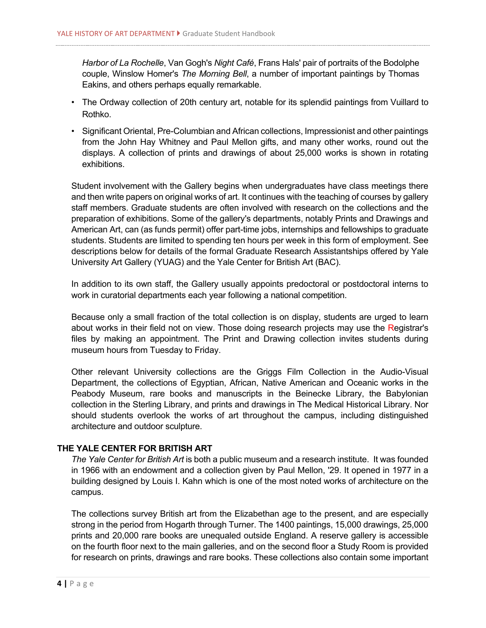*Harbor of La Rochelle*, Van Gogh's *Night Café*, Frans Hals' pair of portraits of the Bodolphe couple, Winslow Homer's *The Morning Bell*, a number of important paintings by Thomas Eakins, and others perhaps equally remarkable.

- The Ordway collection of 20th century art, notable for its splendid paintings from Vuillard to Rothko.
- Significant Oriental, Pre-Columbian and African collections, Impressionist and other paintings from the John Hay Whitney and Paul Mellon gifts, and many other works, round out the displays. A collection of prints and drawings of about 25,000 works is shown in rotating exhibitions.

Student involvement with the Gallery begins when undergraduates have class meetings there and then write papers on original works of art. It continues with the teaching of courses by gallery staff members. Graduate students are often involved with research on the collections and the preparation of exhibitions. Some of the gallery's departments, notably Prints and Drawings and American Art, can (as funds permit) offer part-time jobs, internships and fellowships to graduate students. Students are limited to spending ten hours per week in this form of employment. See descriptions below for details of the formal Graduate Research Assistantships offered by Yale University Art Gallery (YUAG) and the Yale Center for British Art (BAC).

In addition to its own staff, the Gallery usually appoints predoctoral or postdoctoral interns to work in curatorial departments each year following a national competition.

Because only a small fraction of the total collection is on display, students are urged to learn about works in their field not on view. Those doing research projects may use the Registrar's files by making an appointment. The Print and Drawing collection invites students during museum hours from Tuesday to Friday.

Other relevant University collections are the Griggs Film Collection in the Audio-Visual Department, the collections of Egyptian, African, Native American and Oceanic works in the Peabody Museum, rare books and manuscripts in the Beinecke Library, the Babylonian collection in the Sterling Library, and prints and drawings in The Medical Historical Library. Nor should students overlook the works of art throughout the campus, including distinguished architecture and outdoor sculpture.

#### **THE YALE CENTER FOR BRITISH ART**

*The Yale Center for British Art* is both a public museum and a research institute. It was founded in 1966 with an endowment and a collection given by Paul Mellon, '29. It opened in 1977 in a building designed by Louis I. Kahn which is one of the most noted works of architecture on the campus.

The collections survey British art from the Elizabethan age to the present, and are especially strong in the period from Hogarth through Turner. The 1400 paintings, 15,000 drawings, 25,000 prints and 20,000 rare books are unequaled outside England. A reserve gallery is accessible on the fourth floor next to the main galleries, and on the second floor a Study Room is provided for research on prints, drawings and rare books. These collections also contain some important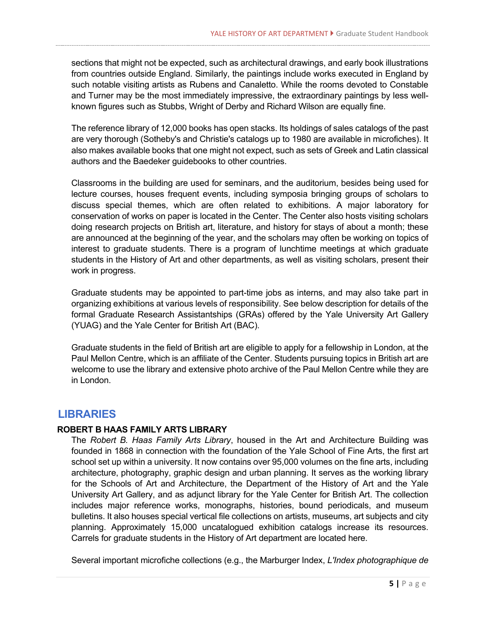sections that might not be expected, such as architectural drawings, and early book illustrations from countries outside England. Similarly, the paintings include works executed in England by such notable visiting artists as Rubens and Canaletto. While the rooms devoted to Constable and Turner may be the most immediately impressive, the extraordinary paintings by less wellknown figures such as Stubbs, Wright of Derby and Richard Wilson are equally fine.

The reference library of 12,000 books has open stacks. Its holdings of sales catalogs of the past are very thorough (Sotheby's and Christie's catalogs up to 1980 are available in microfiches). It also makes available books that one might not expect, such as sets of Greek and Latin classical authors and the Baedeker guidebooks to other countries.

Classrooms in the building are used for seminars, and the auditorium, besides being used for lecture courses, houses frequent events, including symposia bringing groups of scholars to discuss special themes, which are often related to exhibitions. A major laboratory for conservation of works on paper is located in the Center. The Center also hosts visiting scholars doing research projects on British art, literature, and history for stays of about a month; these are announced at the beginning of the year, and the scholars may often be working on topics of interest to graduate students. There is a program of lunchtime meetings at which graduate students in the History of Art and other departments, as well as visiting scholars, present their work in progress.

Graduate students may be appointed to part-time jobs as interns, and may also take part in organizing exhibitions at various levels of responsibility. See below description for details of the formal Graduate Research Assistantships (GRAs) offered by the Yale University Art Gallery (YUAG) and the Yale Center for British Art (BAC).

Graduate students in the field of British art are eligible to apply for a fellowship in London, at the Paul Mellon Centre, which is an affiliate of the Center. Students pursuing topics in British art are welcome to use the library and extensive photo archive of the Paul Mellon Centre while they are in London.

# **LIBRARIES**

#### **[ROBERT B HAAS FAMILY ARTS LIBRARY](http://www.yale.edu/artgallery/index.html)**

The *[Robert B. Haas Family Arts Library](http://www.library.yale.edu/art/aa.html)*, housed in the Art and Architecture Building was founded in 1868 in connection with the foundation of the Yale School of Fine Arts, the first art school set up within a university. It now contains over 95,000 volumes on the fine arts, including architecture, photography, graphic design and urban planning. It serves as the working library for the Schools of Art and Architecture, the Department of the History of Art and the Yale University Art Gallery, and as adjunct library for the Yale Center for British Art. The collection includes major reference works, monographs, histories, bound periodicals, and museum bulletins. It also houses special vertical file collections on artists, museums, art subjects and city planning. Approximately 15,000 uncatalogued exhibition catalogs increase its resources. Carrels for graduate students in the History of Art department are located here.

Several important microfiche collections (e.g., the Marburger Index, *L'Index photographique de*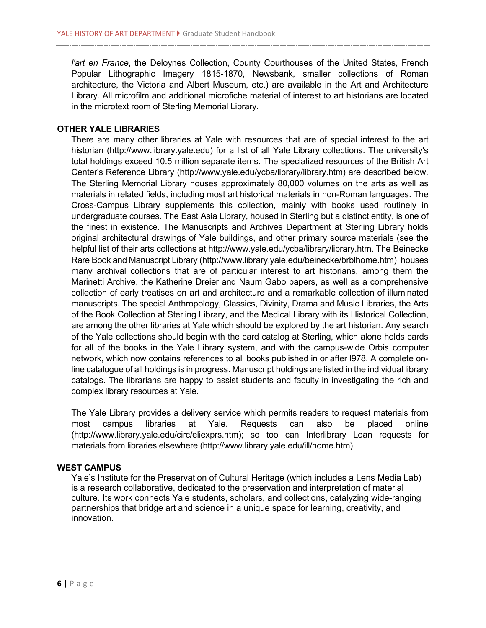*l'art en France*, the Deloynes Collection, County Courthouses of the United States, French Popular Lithographic Imagery 1815-1870, Newsbank, smaller collections of Roman architecture, the Victoria and Albert Museum, etc.) are available in the Art and Architecture Library. All microfilm and additional microfiche material of interest to art historians are located in the microtext room of Sterling Memorial Library.

#### **[OTHER YALE LIBRARIES](http://www.yale.edu/artgallery/index.html)**

There are many other libraries at Yale with resources that are of special interest to the art historian (http://www.library.yale.edu) for a list of all Yale Library collections. The university's total holdings exceed 10.5 million separate items. The specialized resources of the British Art Center's Reference Library (http://www.yale.edu/ycba/library/library.htm) are described below. The Sterling Memorial Library houses approximately 80,000 volumes on the arts as well as materials in related fields, including most art historical materials in non-Roman languages. The Cross-Campus Library supplements this collection, mainly with books used routinely in undergraduate courses. The East Asia Library, housed in Sterling but a distinct entity, is one of the finest in existence. The Manuscripts and Archives Department at Sterling Library holds original architectural drawings of Yale buildings, and other primary source materials (see the helpful list of their arts collections at http://www.yale.edu/ycba/library/library.htm. The Beinecke Rare Book and Manuscript Library (http://www.library.yale.edu/beinecke/brblhome.htm) houses many archival collections that are of particular interest to art historians, among them the Marinetti Archive, the Katherine Dreier and Naum Gabo papers, as well as a comprehensive collection of early treatises on art and architecture and a remarkable collection of illuminated manuscripts. The special Anthropology, Classics, Divinity, Drama and Music Libraries, the Arts of the Book Collection at Sterling Library, and the Medical Library with its Historical Collection, are among the other libraries at Yale which should be explored by the art historian. Any search of the Yale collections should begin with the card catalog at Sterling, which alone holds cards for all of the books in the Yale Library system, and with the campus-wide Orbis computer network, which now contains references to all books published in or after l978. A complete online catalogue of all holdings is in progress. Manuscript holdings are listed in the individual library catalogs. The librarians are happy to assist students and faculty in investigating the rich and complex library resources at Yale.

The Yale Library provides a delivery service which permits readers to request materials from most campus libraries at Yale. Requests can also be placed online (http://www.library.yale.edu/circ/eliexprs.htm); so too can Interlibrary Loan requests for materials from libraries elsewhere (http://www.library.yale.edu/ill/home.htm).

#### **WEST CAMPUS**

Yale's Institute for the Preservation of Cultural Heritage (which includes a Lens Media Lab) is a research collaborative, dedicated to the preservation and interpretation of material culture. Its work connects Yale students, scholars, and collections, catalyzing wide-ranging partnerships that bridge art and science in a unique space for learning, creativity, and innovation.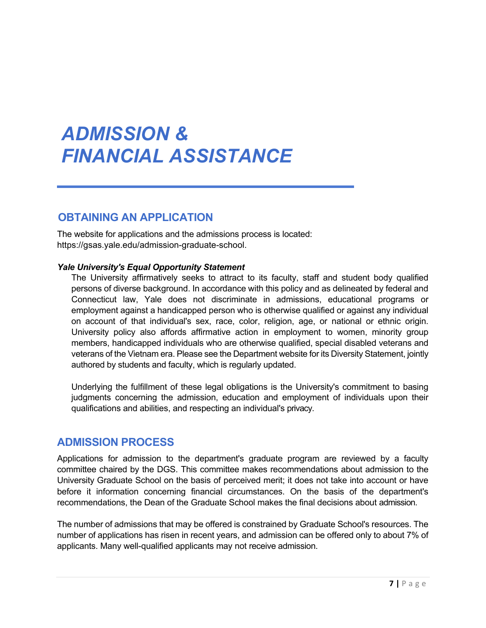# *ADMISSION & FINANCIAL ASSISTANCE*

# **OBTAINING AN APPLICATION**

The website for applications and the admissions process is located: [https://gsas.yale.edu/admission-graduate-school.](https://gsas.yale.edu/admission-graduate-school)

#### *Yale University's Equal Opportunity Statement*

The University affirmatively seeks to attract to its faculty, staff and student body qualified persons of diverse background. In accordance with this policy and as delineated by federal and Connecticut law, Yale does not discriminate in admissions, educational programs or employment against a handicapped person who is otherwise qualified or against any individual on account of that individual's sex, race, color, religion, age, or national or ethnic origin. University policy also affords affirmative action in employment to women, minority group members, handicapped individuals who are otherwise qualified, special disabled veterans and veterans of the Vietnam era. Please see the Department website for its Diversity Statement, jointly authored by students and faculty, which is regularly updated.

Underlying the fulfillment of these legal obligations is the University's commitment to basing judgments concerning the admission, education and employment of individuals upon their qualifications and abilities, and respecting an individual's privacy.

# **ADMISSION PROCESS**

Applications for admission to the department's graduate program are reviewed by a faculty committee chaired by the DGS. This committee makes recommendations about admission to the University Graduate School on the basis of perceived merit; it does not take into account or have before it information concerning financial circumstances. On the basis of the department's recommendations, the Dean of the Graduate School makes the final decisions about admission.

The number of admissions that may be offered is constrained by Graduate School's resources. The number of applications has risen in recent years, and admission can be offered only to about 7% of applicants. Many well-qualified applicants may not receive admission.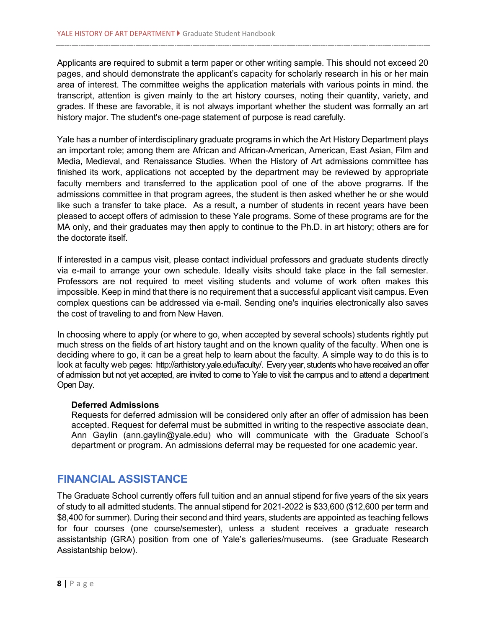Applicants are required to submit a term paper or other writing sample. This should not exceed 20 pages, and should demonstrate the applicant's capacity for scholarly research in his or her main area of interest. The committee weighs the application materials with various points in mind. the transcript, attention is given mainly to the art history courses, noting their quantity, variety, and grades. If these are favorable, it is not always important whether the student was formally an art history major. The student's one-page statement of purpose is read carefully.

Yale has a number of interdisciplinary graduate programs in which the Art History Department plays an important role; among them are African and African-American, American, East Asian, Film and Media, Medieval, and Renaissance Studies. When the History of Art admissions committee has finished its work, applications not accepted by the department may be reviewed by appropriate faculty members and transferred to the application pool of one of the above programs. If the admissions committee in that program agrees, the student is then asked whether he or she would like such a transfer to take place. As a result, a number of students in recent years have been pleased to accept offers of admission to these Yale programs. Some of these programs are for the MA only, and their graduates may then apply to continue to the Ph.D. in art history; others are for the doctorate itself.

If interested in a campus visit, please contact [individual professors](http://www.yale.edu/faculty/faculty_directory.html) and [graduate](http://www.yale.edu/graduate/studlisting/students3.html) [students](http://www.yale.edu/graduate/studlisting/students3.html) directly via e-mail to arrange your own schedule. Ideally visits should take place in the fall semester. Professors are not required to meet visiting students and volume of work often makes this impossible. Keep in mind that there is no requirement that a successful applicant visit campus. Even complex questions can be addressed via e-mail. Sending one's inquiries electronically also saves the cost of traveling to and from New Haven.

In choosing where to apply (or where to go, when accepted by several schools) students rightly put much stress on the fields of art history taught and on the known quality of the faculty. When one is deciding where to go, it can be a great help to learn about the faculty. A simple way to do this is to look at faculty web pages: [http://arthistory.yale.edu/faculty/.](http://arthistory.yale.edu/faculty/) Every year, students who have received an offer of admission but not yet accepted, are invited to come to Yale to visit the campus and to attend a department Open Day.

#### **Deferred Admissions**

Requests for deferred admission will be considered only after an offer of admission has been accepted. Request for deferral must be submitted in writing to the respective associate dean, Ann Gaylin (ann.gaylin@yale.edu) who will communicate with the Graduate School's department or program. An admissions deferral may be requested for one academic year.

# **FINANCIAL ASSISTANCE**

The Graduate School currently offers full tuition and an annual stipend for five years of the six years of study to all admitted students. The annual stipend for 2021-2022 is \$33,600 (\$12,600 per term and \$8,400 for summer). During their second and third years, students are appointed as teaching fellows for four courses (one course/semester), unless a student receives a graduate research assistantship (GRA) position from one of Yale's galleries/museums. (see Graduate Research Assistantship below).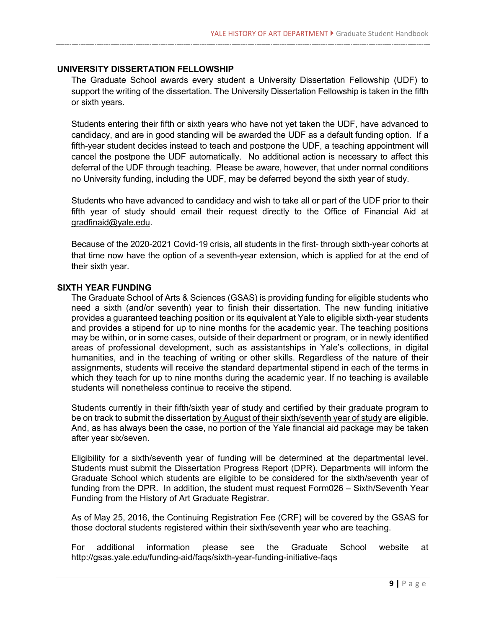#### **UNIVERSITY DISSERTATION FELLOWSHIP**

The Graduate School awards every student a University Dissertation Fellowship (UDF) to support the writing of the dissertation. The University Dissertation Fellowship is taken in the fifth or sixth years.

Students entering their fifth or sixth years who have not yet taken the UDF, have advanced to candidacy, and are in good standing will be awarded the UDF as a default funding option. If a fifth-year student decides instead to teach and postpone the UDF, a teaching appointment will cancel the postpone the UDF automatically. No additional action is necessary to affect this deferral of the UDF through teaching. Please be aware, however, that under normal conditions no University funding, including the UDF, may be deferred beyond the sixth year of study.

Students who have advanced to candidacy and wish to take all or part of the UDF prior to their fifth year of study should email their request directly to the Office of Financial Aid at [gradfinaid@yale.edu.](mailto:gradfinaid@yale.edu)

Because of the 2020-2021 Covid-19 crisis, all students in the first- through sixth-year cohorts at that time now have the option of a seventh-year extension, which is applied for at the end of their sixth year.

#### **SIXTH YEAR FUNDING**

The Graduate School of Arts & Sciences (GSAS) is providing funding for eligible students who need a sixth (and/or seventh) year to finish their dissertation. The new funding initiative provides a guaranteed teaching position or its equivalent at Yale to eligible sixth-year students and provides a stipend for up to nine months for the academic year. The teaching positions may be within, or in some cases, outside of their department or program, or in newly identified areas of professional development, such as assistantships in Yale's collections, in digital humanities, and in the teaching of writing or other skills. Regardless of the nature of their assignments, students will receive the standard departmental stipend in each of the terms in which they teach for up to nine months during the academic year. If no teaching is available students will nonetheless continue to receive the stipend.

Students currently in their fifth/sixth year of study and certified by their graduate program to be on track to submit the dissertation by August of their sixth/seventh year of study are eligible. And, as has always been the case, no portion of the Yale financial aid package may be taken after year six/seven.

Eligibility for a sixth/seventh year of funding will be determined at the departmental level. Students must submit the Dissertation Progress Report (DPR). Departments will inform the Graduate School which students are eligible to be considered for the sixth/seventh year of funding from the DPR. In addition, the student must request Form026 – Sixth/Seventh Year Funding from the History of Art Graduate Registrar.

As of May 25, 2016, the Continuing Registration Fee (CRF) will be covered by the GSAS for those doctoral students registered within their sixth/seventh year who are teaching.

For additional information please see the Graduate School website at http://gsas.yale.edu/funding-aid/faqs/sixth-year-funding-initiative-faqs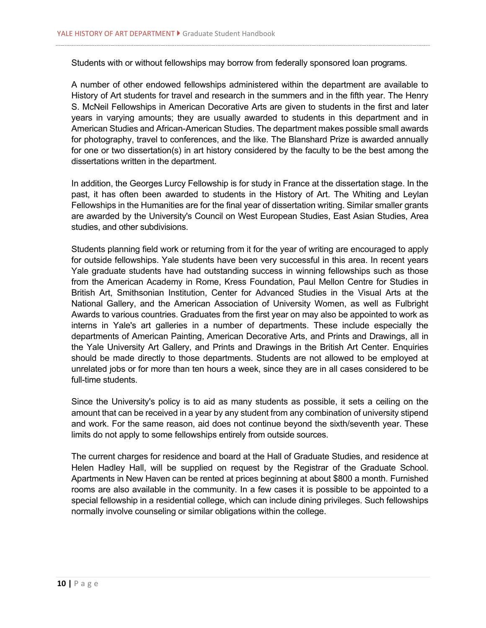Students with or without fellowships may borrow from federally sponsored loan programs.

A number of other endowed fellowships administered within the department are available to History of Art students for travel and research in the summers and in the fifth year. The Henry S. McNeil Fellowships in American Decorative Arts are given to students in the first and later years in varying amounts; they are usually awarded to students in this department and in American Studies and African-American Studies. The department makes possible small awards for photography, travel to conferences, and the like. The Blanshard Prize is awarded annually for one or two dissertation(s) in art history considered by the faculty to be the best among the dissertations written in the department.

In addition, the Georges Lurcy Fellowship is for study in France at the dissertation stage. In the past, it has often been awarded to students in the History of Art. The Whiting and Leylan Fellowships in the Humanities are for the final year of dissertation writing. Similar smaller grants are awarded by the University's Council on West European Studies, East Asian Studies, Area studies, and other subdivisions.

Students planning field work or returning from it for the year of writing are encouraged to apply for outside fellowships. Yale students have been very successful in this area. In recent years Yale graduate students have had outstanding success in winning fellowships such as those from the American Academy in Rome, Kress Foundation, Paul Mellon Centre for Studies in British Art, Smithsonian Institution, Center for Advanced Studies in the Visual Arts at the National Gallery, and the American Association of University Women, as well as Fulbright Awards to various countries. Graduates from the first year on may also be appointed to work as interns in Yale's art galleries in a number of departments. These include especially the departments of American Painting, American Decorative Arts, and Prints and Drawings, all in the Yale University Art Gallery, and Prints and Drawings in the British Art Center. Enquiries should be made directly to those departments. Students are not allowed to be employed at unrelated jobs or for more than ten hours a week, since they are in all cases considered to be full-time students.

Since the University's policy is to aid as many students as possible, it sets a ceiling on the amount that can be received in a year by any student from any combination of university stipend and work. For the same reason, aid does not continue beyond the sixth/seventh year. These limits do not apply to some fellowships entirely from outside sources.

The current charges for residence and board at the Hall of Graduate Studies, and residence at Helen Hadley Hall, will be supplied on request by the Registrar of the Graduate School. Apartments in New Haven can be rented at prices beginning at about \$800 a month. Furnished rooms are also available in the community. In a few cases it is possible to be appointed to a special fellowship in a residential college, which can include dining privileges. Such fellowships normally involve counseling or similar obligations within the college.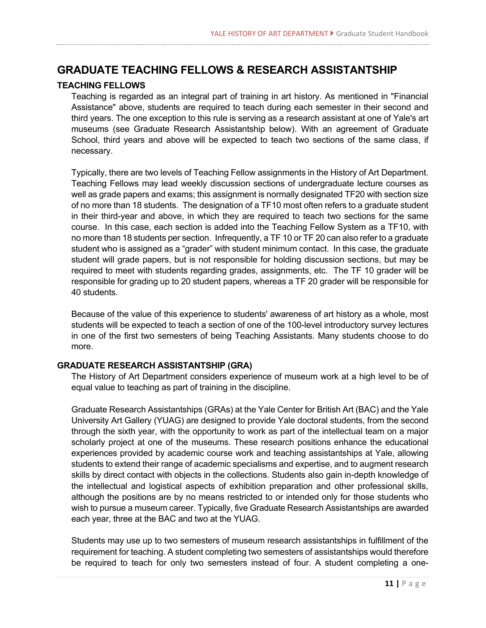# **GRADUATE TEACHING FELLOWS & RESEARCH ASSISTANTSHIP**

#### **[TEACHING F](http://www.yale.edu/artgallery/index.html)ELLOWS**

Teaching is regarded as an integral part of training in art history. As mentioned in "Financial Assistance" above, students are required to teach during each semester in their second and third years. The one exception to this rule is serving as a research assistant at one of Yale's art museums (see Graduate Research Assistantship below). With an agreement of Graduate School, third years and above will be expected to teach two sections of the same class, if necessary.

Typically, there are two levels of Teaching Fellow assignments in the History of Art Department. Teaching Fellows may lead weekly discussion sections of undergraduate lecture courses as well as grade papers and exams; this assignment is normally designated TF20 with section size of no more than 18 students. The designation of a TF10 most often refers to a graduate student in their third-year and above, in which they are required to teach two sections for the same course. In this case, each section is added into the Teaching Fellow System as a TF10, with no more than 18 students per section. Infrequently, a TF 10 or TF 20 can also refer to a graduate student who is assigned as a "grader" with student minimum contact. In this case, the graduate student will grade papers, but is not responsible for holding discussion sections, but may be required to meet with students regarding grades, assignments, etc. The TF 10 grader will be responsible for grading up to 20 student papers, whereas a TF 20 grader will be responsible for 40 students.

Because of the value of this experience to students' awareness of art history as a whole, most students will be expected to teach a section of one of the 100-level introductory survey lectures in one of the first two semesters of being Teaching Assistants. Many students choose to do more.

#### **[GRADUATE RESEARCH ASSISTANTSHIP \(](http://www.yale.edu/artgallery/index.html)GRA)**

The History of Art Department considers experience of museum work at a high level to be of equal value to teaching as part of training in the discipline.

Graduate Research Assistantships (GRAs) at the Yale Center for British Art (BAC) and the Yale University Art Gallery (YUAG) are designed to provide Yale doctoral students, from the second through the sixth year, with the opportunity to work as part of the intellectual team on a major scholarly project at one of the museums. These research positions enhance the educational experiences provided by academic course work and teaching assistantships at Yale, allowing students to extend their range of academic specialisms and expertise, and to augment research skills by direct contact with objects in the collections. Students also gain in-depth knowledge of the intellectual and logistical aspects of exhibition preparation and other professional skills, although the positions are by no means restricted to or intended only for those students who wish to pursue a museum career. Typically, five Graduate Research Assistantships are awarded each year, three at the BAC and two at the YUAG.

Students may use up to two semesters of museum research assistantships in fulfillment of the requirement for teaching. A student completing two semesters of assistantships would therefore be required to teach for only two semesters instead of four. A student completing a one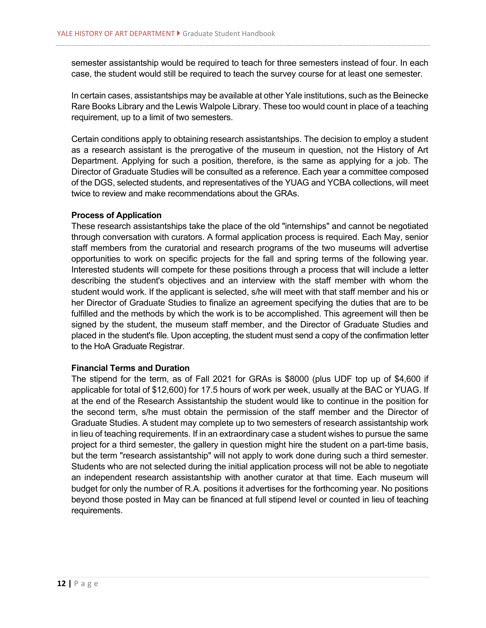semester assistantship would be required to teach for three semesters instead of four. In each case, the student would still be required to teach the survey course for at least one semester.

In certain cases, assistantships may be available at other Yale institutions, such as the Beinecke Rare Books Library and the Lewis Walpole Library. These too would count in place of a teaching requirement, up to a limit of two semesters.

Certain conditions apply to obtaining research assistantships. The decision to employ a student as a research assistant is the prerogative of the museum in question, not the History of Art Department. Applying for such a position, therefore, is the same as applying for a job. The Director of Graduate Studies will be consulted as a reference. Each year a committee composed of the DGS, selected students, and representatives of the YUAG and YCBA collections, will meet twice to review and make recommendations about the GRAs.

#### **Process of Application**

These research assistantships take the place of the old "internships" and cannot be negotiated through conversation with curators. A formal application process is required. Each May, senior staff members from the curatorial and research programs of the two museums will advertise opportunities to work on specific projects for the fall and spring terms of the following year. Interested students will compete for these positions through a process that will include a letter describing the student's objectives and an interview with the staff member with whom the student would work. If the applicant is selected, s/he will meet with that staff member and his or her Director of Graduate Studies to finalize an agreement specifying the duties that are to be fulfilled and the methods by which the work is to be accomplished. This agreement will then be signed by the student, the museum staff member, and the Director of Graduate Studies and placed in the student's file. Upon accepting, the student must send a copy of the confirmation letter to the HoA Graduate Registrar.

#### **Financial Terms and Duration**

The stipend for the term, as of Fall 2021 for GRAs is \$8000 (plus UDF top up of \$4,600 if applicable for total of \$12,600) for 17.5 hours of work per week, usually at the BAC or YUAG. If at the end of the Research Assistantship the student would like to continue in the position for the second term, s/he must obtain the permission of the staff member and the Director of Graduate Studies. A student may complete up to two semesters of research assistantship work in lieu of teaching requirements. If in an extraordinary case a student wishes to pursue the same project for a third semester, the gallery in question might hire the student on a part-time basis, but the term "research assistantship" will not apply to work done during such a third semester. Students who are not selected during the initial application process will not be able to negotiate an independent research assistantship with another curator at that time. Each museum will budget for only the number of R.A. positions it advertises for the forthcoming year. No positions beyond those posted in May can be financed at full stipend level or counted in lieu of teaching requirements.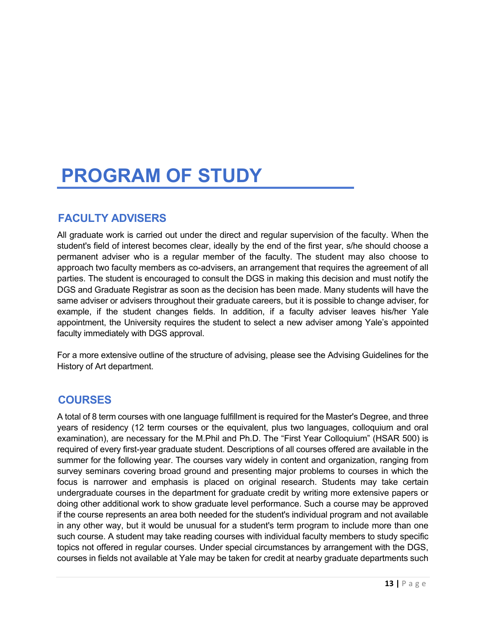# **PROGRAM OF STUDY**

# **FACULTY ADVISERS**

All graduate work is carried out under the direct and regular supervision of the faculty. When the student's field of interest becomes clear, ideally by the end of the first year, s/he should choose a permanent adviser who is a regular member of the faculty. The student may also choose to approach two faculty members as co-advisers, an arrangement that requires the agreement of all parties. The student is encouraged to consult the DGS in making this decision and must notify the DGS and Graduate Registrar as soon as the decision has been made. Many students will have the same adviser or advisers throughout their graduate careers, but it is possible to change adviser, for example, if the student changes fields. In addition, if a faculty adviser leaves his/her Yale appointment, the University requires the student to select a new adviser among Yale's appointed faculty immediately with DGS approval.

For a more extensive outline of the structure of advising, please see the Advising Guidelines for the History of Art department.

# **COURSES**

A total of 8 term courses with one language fulfillment is required for the Master's Degree, and three years of residency (12 term courses or the equivalent, plus two languages, colloquium and oral examination), are necessary for the M.Phil and Ph.D. The "First Year Colloquium" (HSAR 500) is required of every first-year graduate student. Descriptions of all courses offered are available in the summer for the following year. The courses vary widely in content and organization, ranging from survey seminars covering broad ground and presenting major problems to courses in which the focus is narrower and emphasis is placed on original research. Students may take certain undergraduate courses in the department for graduate credit by writing more extensive papers or doing other additional work to show graduate level performance. Such a course may be approved if the course represents an area both needed for the student's individual program and not available in any other way, but it would be unusual for a student's term program to include more than one such course. A student may take reading courses with individual faculty members to study specific topics not offered in regular courses. Under special circumstances by arrangement with the DGS, courses in fields not available at Yale may be taken for credit at nearby graduate departments such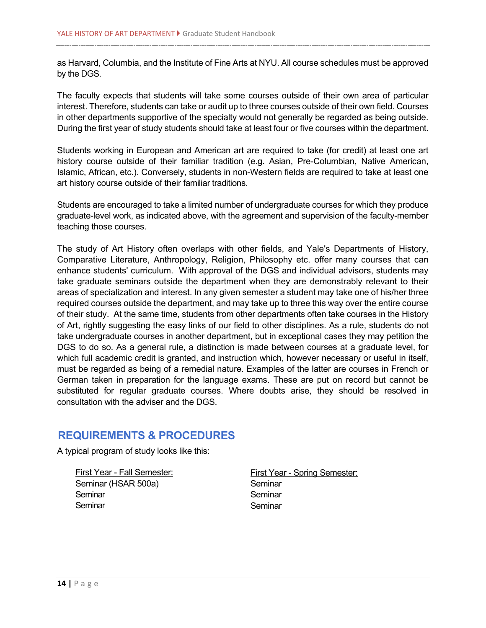as Harvard, Columbia, and the Institute of Fine Arts at NYU. All course schedules must be approved by the DGS.

The faculty expects that students will take some courses outside of their own area of particular interest. Therefore, students can take or audit up to three courses outside of their own field. Courses in other departments supportive of the specialty would not generally be regarded as being outside. During the first year of study students should take at least four or five courses within the department.

Students working in European and American art are required to take (for credit) at least one art history course outside of their familiar tradition (e.g. Asian, Pre-Columbian, Native American, Islamic, African, etc.). Conversely, students in non-Western fields are required to take at least one art history course outside of their familiar traditions.

Students are encouraged to take a limited number of undergraduate courses for which they produce graduate-level work, as indicated above, with the agreement and supervision of the faculty-member teaching those courses.

The study of Art History often overlaps with other fields, and Yale's Departments of History, Comparative Literature, Anthropology, Religion, Philosophy etc. offer many courses that can enhance students' curriculum. With approval of the DGS and individual advisors, students may take graduate seminars outside the department when they are demonstrably relevant to their areas of specialization and interest. In any given semester a student may take one of his/her three required courses outside the department, and may take up to three this way over the entire course of their study. At the same time, students from other departments often take courses in the History of Art, rightly suggesting the easy links of our field to other disciplines. As a rule, students do not take undergraduate courses in another department, but in exceptional cases they may petition the DGS to do so. As a general rule, a distinction is made between courses at a graduate level, for which full academic credit is granted, and instruction which, however necessary or useful in itself, must be regarded as being of a remedial nature. Examples of the latter are courses in French or German taken in preparation for the language exams. These are put on record but cannot be substituted for regular graduate courses. Where doubts arise, they should be resolved in consultation with the adviser and the DGS.

# **REQUIREMENTS & PROCEDURES**

A typical program of study looks like this:

First Year - Fall Semester: Seminar (HSAR 500a) **Seminar** Seminar

First Year - Spring Semester: Seminar **Seminar Seminar**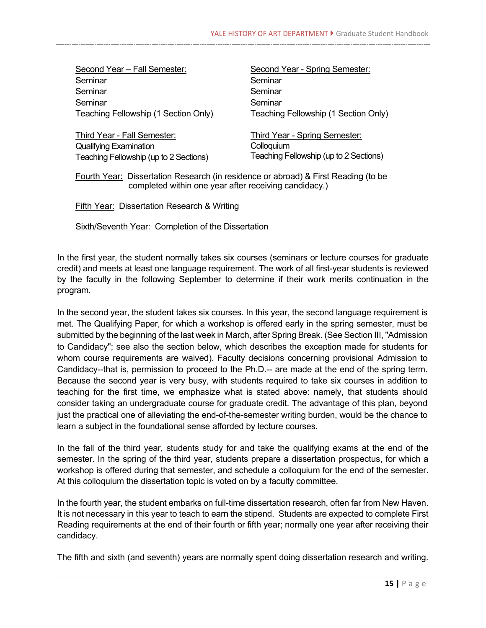| Second Year - Fall Semester:         |
|--------------------------------------|
| Seminar                              |
| Seminar                              |
| Seminar                              |
| Teaching Fellowship (1 Section Only) |

Third Year - Fall Semester: Qualifying Examination Teaching Fellowship (up to 2 Sections) Second Year - Spring Semester: Seminar **Seminar Seminar** Teaching Fellowship (1 Section Only)

Third Year - Spring Semester: **Colloquium** Teaching Fellowship (up to 2 Sections)

Fourth Year: Dissertation Research (in residence or abroad) & First Reading (to be completed within one year after receiving candidacy.)

Fifth Year: Dissertation Research & Writing

Sixth/Seventh Year: Completion of the Dissertation

In the first year, the student normally takes six courses (seminars or lecture courses for graduate credit) and meets at least one language requirement. The work of all first-year students is reviewed by the faculty in the following September to determine if their work merits continuation in the program.

In the second year, the student takes six courses. In this year, the second language requirement is met. The Qualifying Paper, for which a workshop is offered early in the spring semester, must be submitted by the beginning of the last week in March, after Spring Break. (See Section III, "Admission to Candidacy"; see also the section below, which describes the exception made for students for whom course requirements are waived). Faculty decisions concerning provisional Admission to Candidacy--that is, permission to proceed to the Ph.D.-- are made at the end of the spring term. Because the second year is very busy, with students required to take six courses in addition to teaching for the first time, we emphasize what is stated above: namely, that students should consider taking an undergraduate course for graduate credit. The advantage of this plan, beyond just the practical one of alleviating the end-of-the-semester writing burden, would be the chance to learn a subject in the foundational sense afforded by lecture courses.

In the fall of the third year, students study for and take the qualifying exams at the end of the semester. In the spring of the third year, students prepare a dissertation prospectus, for which a workshop is offered during that semester, and schedule a colloquium for the end of the semester. At this colloquium the dissertation topic is voted on by a faculty committee.

In the fourth year, the student embarks on full-time dissertation research, often far from New Haven. It is not necessary in this year to teach to earn the stipend. Students are expected to complete First Reading requirements at the end of their fourth or fifth year; normally one year after receiving their candidacy.

The fifth and sixth (and seventh) years are normally spent doing dissertation research and writing.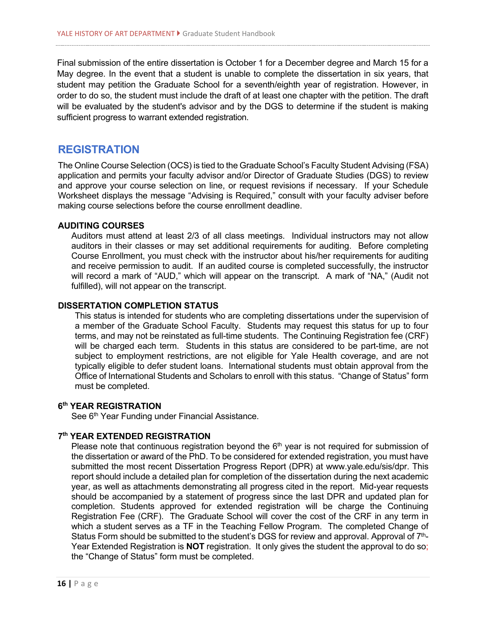Final submission of the entire dissertation is October 1 for a December degree and March 15 for a May degree. In the event that a student is unable to complete the dissertation in six years, that student may petition the Graduate School for a seventh/eighth year of registration. However, in order to do so, the student must include the draft of at least one chapter with the petition. The draft will be evaluated by the student's advisor and by the DGS to determine if the student is making sufficient progress to warrant extended registration.

### **REGISTRATION**

The Online Course Selection (OCS) is tied to the Graduate School's Faculty Student Advising (FSA) application and permits your faculty advisor and/or Director of Graduate Studies (DGS) to review and approve your course selection on line, or request revisions if necessary. If your Schedule Worksheet displays the message "Advising is Required," consult with your faculty adviser before making course selections before the course enrollment deadline.

#### **AUDITING COURSES**

Auditors must attend at least 2/3 of all class meetings. Individual instructors may not allow auditors in their classes or may set additional requirements for auditing. Before completing Course Enrollment, you must check with the instructor about his/her requirements for auditing and receive permission to audit. If an audited course is completed successfully, the instructor will record a mark of "AUD," which will appear on the transcript. A mark of "NA," (Audit not fulfilled), will not appear on the transcript.

#### **DISSERTATION COMPLETION STATUS**

This status is intended for students who are completing dissertations under the supervision of a member of the Graduate School Faculty. Students may request this status for up to four terms, and may not be reinstated as full-time students. The Continuing Registration fee (CRF) will be charged each term. Students in this status are considered to be part-time, are not subject to employment restrictions, are not eligible for Yale Health coverage, and are not typically eligible to defer student loans. International students must obtain approval from the Office of International Students and Scholars to enroll with this status. "Change of Status" form must be completed.

#### **6th YEAR REGISTRATION**

See 6<sup>th</sup> Year Funding under Financial Assistance.

#### **7th YEAR EXTENDED REGISTRATION**

Please note that continuous registration beyond the  $6<sup>th</sup>$  year is not required for submission of the dissertation or award of the PhD. To be considered for extended registration, you must have submitted the most recent Dissertation Progress Report (DPR) at [www.yale.edu/sis/dpr.](http://www.yale.edu/sis/dpr) This report should include a detailed plan for completion of the dissertation during the next academic year, as well as attachments demonstrating all progress cited in the report. Mid-year requests should be accompanied by a statement of progress since the last DPR and updated plan for completion. Students approved for extended registration will be charge the Continuing Registration Fee (CRF). The Graduate School will cover the cost of the CRF in any term in which a student serves as a TF in the Teaching Fellow Program. The completed Change of Status Form should be submitted to the student's DGS for review and approval. Approval of  $7<sup>th</sup>$ -Year Extended Registration is **NOT** registration. It only gives the student the approval to do so; the "Change of Status" form must be completed.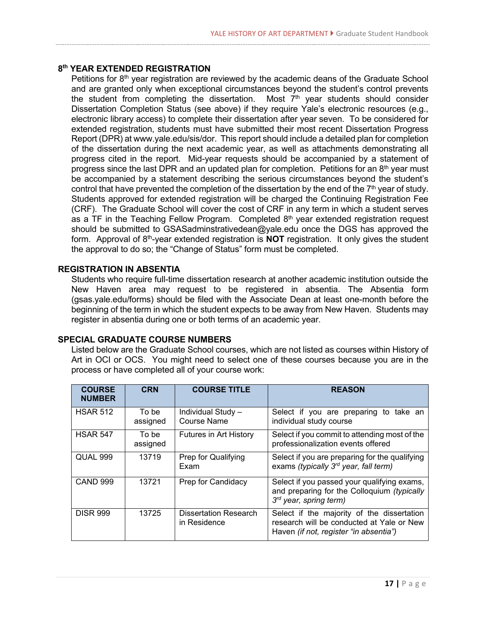#### **8th YEAR EXTENDED REGISTRATION**

Petitions for 8<sup>th</sup> year registration are reviewed by the academic deans of the Graduate School and are granted only when exceptional circumstances beyond the student's control prevents the student from completing the dissertation. Most  $7<sup>th</sup>$  year students should consider Dissertation Completion Status (see above) if they require Yale's electronic resources (e.g., electronic library access) to complete their dissertation after year seven. To be considered for extended registration, students must have submitted their most recent Dissertation Progress Report (DPR) a[t www.yale.edu/sis/dor.](http://www.yale.edu/sis/dor) This report should include a detailed plan for completion of the dissertation during the next academic year, as well as attachments demonstrating all progress cited in the report. Mid-year requests should be accompanied by a statement of progress since the last DPR and an updated plan for completion. Petitions for an  $8<sup>th</sup>$  year must be accompanied by a statement describing the serious circumstances beyond the student's control that have prevented the completion of the dissertation by the end of the  $7<sup>th</sup>$  year of study. Students approved for extended registration will be charged the Continuing Registration Fee (CRF). The Graduate School will cover the cost of CRF in any term in which a student serves as a TF in the Teaching Fellow Program. Completed 8<sup>th</sup> year extended registration request should be submitted to [GSASadminstrativedean@yale.edu](mailto:GSASadminstrativedean@yale.edu) once the DGS has approved the form. Approval of 8<sup>th</sup>-year extended registration is **NOT** registration. It only gives the student the approval to do so; the "Change of Status" form must be completed.

#### **REGISTRATION IN ABSENTIA**

Students who require full-time dissertation research at another academic institution outside the New Haven area may request to be registered in absentia. The Absentia form (gsas.yale.edu/forms) should be filed with the Associate Dean at least one-month before the beginning of the term in which the student expects to be away from New Haven. Students may register in absentia during one or both terms of an academic year.

#### **SPECIAL GRADUATE COURSE NUMBERS**

Listed below are the Graduate School courses, which are not listed as courses within History of Art in OCI or OCS. You might need to select one of these courses because you are in the process or have completed all of your course work:

| <b>COURSE</b><br><b>NUMBER</b> | <b>CRN</b>        | <b>COURSE TITLE</b>                          | <b>REASON</b>                                                                                                                     |
|--------------------------------|-------------------|----------------------------------------------|-----------------------------------------------------------------------------------------------------------------------------------|
| <b>HSAR 512</b>                | To be<br>assigned | Individual Study -<br><b>Course Name</b>     | Select if you are preparing to take an<br>individual study course                                                                 |
| <b>HSAR 547</b>                | To be<br>assigned | <b>Futures in Art History</b>                | Select if you commit to attending most of the<br>professionalization events offered                                               |
| <b>QUAL 999</b>                | 13719             | Prep for Qualifying<br>Exam                  | Select if you are preparing for the qualifying<br>exams (typically 3 <sup>rd</sup> year, fall term)                               |
| <b>CAND 999</b>                | 13721             | Prep for Candidacy                           | Select if you passed your qualifying exams,<br>and preparing for the Colloquium (typically<br>$3^{rd}$ year, spring term)         |
| <b>DISR 999</b>                | 13725             | <b>Dissertation Research</b><br>in Residence | Select if the majority of the dissertation<br>research will be conducted at Yale or New<br>Haven (if not, register "in absentia") |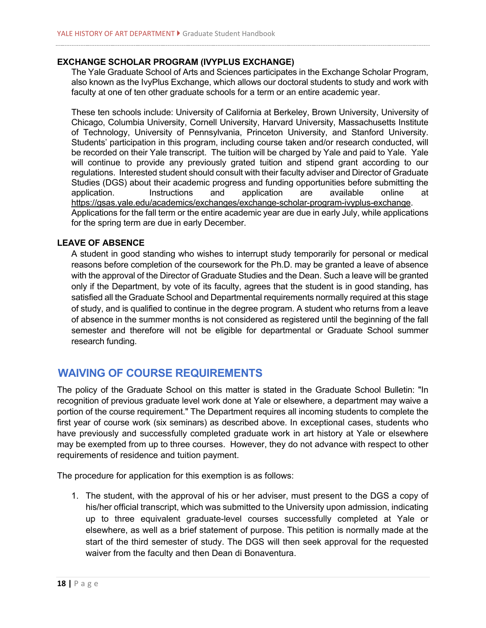#### **EXCHANGE SCHOLAR PROGRAM (IVYPLUS EXCHANGE)**

The Yale Graduate School of Arts and Sciences participates in the Exchange Scholar Program, also known as the IvyPlus Exchange, which allows our doctoral students to study and work with faculty at one of ten other graduate schools for a term or an entire academic year.

These ten schools include: University of California at Berkeley, Brown University, University of Chicago, Columbia University, Cornell University, Harvard University, Massachusetts Institute of Technology, University of Pennsylvania, Princeton University, and Stanford University. Students' participation in this program, including course taken and/or research conducted, will be recorded on their Yale transcript. The tuition will be charged by Yale and paid to Yale. Yale will continue to provide any previously grated tuition and stipend grant according to our regulations. Interested student should consult with their faculty adviser and Director of Graduate Studies (DGS) about their academic progress and funding opportunities before submitting the application. Instructions and application are available online at [https://gsas.yale.edu/academics/exchanges/exchange-scholar-program-ivyplus-exchange.](https://gsas.yale.edu/academics/exchanges/exchange-scholar-program-ivyplus-exchange) Applications for the fall term or the entire academic year are due in early July, while applications for the spring term are due in early December.

#### **LEAVE OF ABSENCE**

A student in good standing who wishes to interrupt study temporarily for personal or medical reasons before completion of the coursework for the Ph.D. may be granted a leave of absence with the approval of the Director of Graduate Studies and the Dean. Such a leave will be granted only if the Department, by vote of its faculty, agrees that the student is in good standing, has satisfied all the Graduate School and Departmental requirements normally required at this stage of study, and is qualified to continue in the degree program. A student who returns from a leave of absence in the summer months is not considered as registered until the beginning of the fall semester and therefore will not be eligible for departmental or Graduate School summer research funding.

### **WAIVING OF COURSE REQUIREMENTS**

The policy of the Graduate School on this matter is stated in the Graduate School Bulletin: "In recognition of previous graduate level work done at Yale or elsewhere, a department may waive a portion of the course requirement." The Department requires all incoming students to complete the first year of course work (six seminars) as described above. In exceptional cases, students who have previously and successfully completed graduate work in art history at Yale or elsewhere may be exempted from up to three courses. However, they do not advance with respect to other requirements of residence and tuition payment.

The procedure for application for this exemption is as follows:

1. The student, with the approval of his or her adviser, must present to the DGS a copy of his/her official transcript, which was submitted to the University upon admission, indicating up to three equivalent graduate-level courses successfully completed at Yale or elsewhere, as well as a brief statement of purpose. This petition is normally made at the start of the third semester of study. The DGS will then seek approval for the requested waiver from the faculty and then Dean di Bonaventura.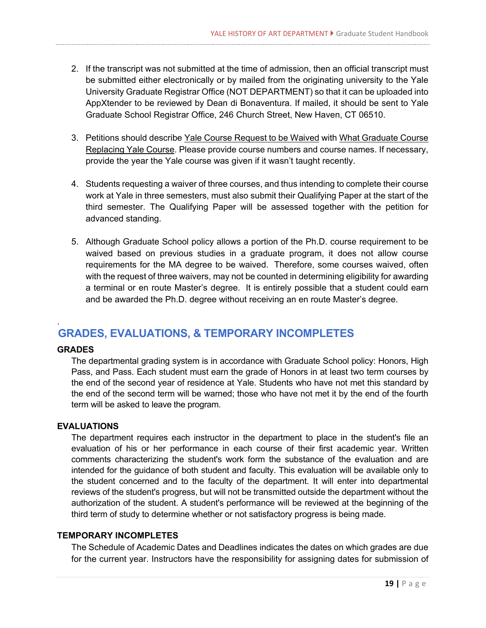- 2. If the transcript was not submitted at the time of admission, then an official transcript must be submitted either electronically or by mailed from the originating university to the Yale University Graduate Registrar Office (NOT DEPARTMENT) so that it can be uploaded into AppXtender to be reviewed by Dean di Bonaventura. If mailed, it should be sent to Yale Graduate School Registrar Office, 246 Church Street, New Haven, CT 06510.
- 3. Petitions should describe Yale Course Request to be Waived with What Graduate Course Replacing Yale Course. Please provide course numbers and course names. If necessary, provide the year the Yale course was given if it wasn't taught recently.
- 4. Students requesting a waiver of three courses, and thus intending to complete their course work at Yale in three semesters, must also submit their Qualifying Paper at the start of the third semester. The Qualifying Paper will be assessed together with the petition for advanced standing.
- 5. Although Graduate School policy allows a portion of the Ph.D. course requirement to be waived based on previous studies in a graduate program, it does not allow course requirements for the MA degree to be waived. Therefore, some courses waived, often with the request of three waivers, may not be counted in determining eligibility for awarding a terminal or en route Master's degree. It is entirely possible that a student could earn and be awarded the Ph.D. degree without receiving an en route Master's degree.

# **GRADES, EVALUATIONS, & TEMPORARY INCOMPLETES**

#### **GRADES**

.

The departmental grading system is in accordance with Graduate School policy: Honors, High Pass, and Pass. Each student must earn the grade of Honors in at least two term courses by the end of the second year of residence at Yale. Students who have not met this standard by the end of the second term will be warned; those who have not met it by the end of the fourth term will be asked to leave the program.

#### **EVALUATIONS**

The department requires each instructor in the department to place in the student's file an evaluation of his or her performance in each course of their first academic year. Written comments characterizing the student's work form the substance of the evaluation and are intended for the guidance of both student and faculty. This evaluation will be available only to the student concerned and to the faculty of the department. It will enter into departmental reviews of the student's progress, but will not be transmitted outside the department without the authorization of the student. A student's performance will be reviewed at the beginning of the third term of study to determine whether or not satisfactory progress is being made.

#### **TEMPORARY INCOMPLETES**

The Schedule of Academic Dates and Deadlines indicates the dates on which grades are due for the current year. Instructors have the responsibility for assigning dates for submission of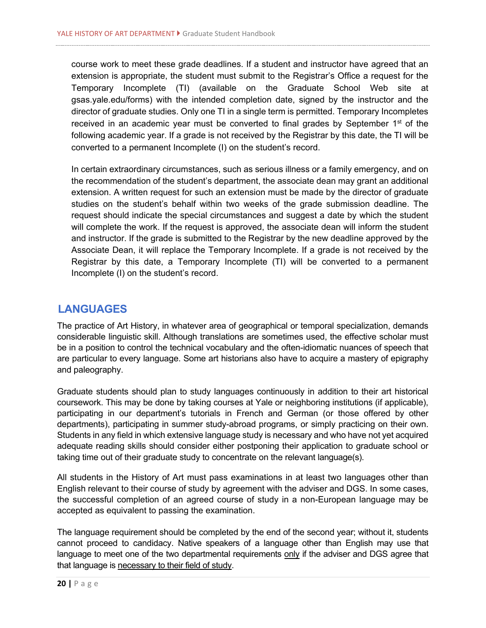course work to meet these grade deadlines. If a student and instructor have agreed that an extension is appropriate, the student must submit to the Registrar's Office a request for the Temporary Incomplete (TI) (available on the Graduate School Web site at gsas.yale.edu/forms) with the intended completion date, signed by the instructor and the director of graduate studies. Only one TI in a single term is permitted. Temporary Incompletes received in an academic year must be converted to final grades by September  $1<sup>st</sup>$  of the following academic year. If a grade is not received by the Registrar by this date, the TI will be converted to a permanent Incomplete (I) on the student's record.

In certain extraordinary circumstances, such as serious illness or a family emergency, and on the recommendation of the student's department, the associate dean may grant an additional extension. A written request for such an extension must be made by the director of graduate studies on the student's behalf within two weeks of the grade submission deadline. The request should indicate the special circumstances and suggest a date by which the student will complete the work. If the request is approved, the associate dean will inform the student and instructor. If the grade is submitted to the Registrar by the new deadline approved by the Associate Dean, it will replace the Temporary Incomplete. If a grade is not received by the Registrar by this date, a Temporary Incomplete (TI) will be converted to a permanent Incomplete (I) on the student's record.

### **LANGUAGES**

The practice of Art History, in whatever area of geographical or temporal specialization, demands considerable linguistic skill. Although translations are sometimes used, the effective scholar must be in a position to control the technical vocabulary and the often-idiomatic nuances of speech that are particular to every language. Some art historians also have to acquire a mastery of epigraphy and paleography.

Graduate students should plan to study languages continuously in addition to their art historical coursework. This may be done by taking courses at Yale or neighboring institutions (if applicable), participating in our department's tutorials in French and German (or those offered by other departments), participating in summer study-abroad programs, or simply practicing on their own. Students in any field in which extensive language study is necessary and who have not yet acquired adequate reading skills should consider either postponing their application to graduate school or taking time out of their graduate study to concentrate on the relevant language(s).

All students in the History of Art must pass examinations in at least two languages other than English relevant to their course of study by agreement with the adviser and DGS. In some cases, the successful completion of an agreed course of study in a non-European language may be accepted as equivalent to passing the examination.

The language requirement should be completed by the end of the second year; without it, students cannot proceed to candidacy. Native speakers of a language other than English may use that language to meet one of the two departmental requirements only if the adviser and DGS agree that that language is necessary to their field of study.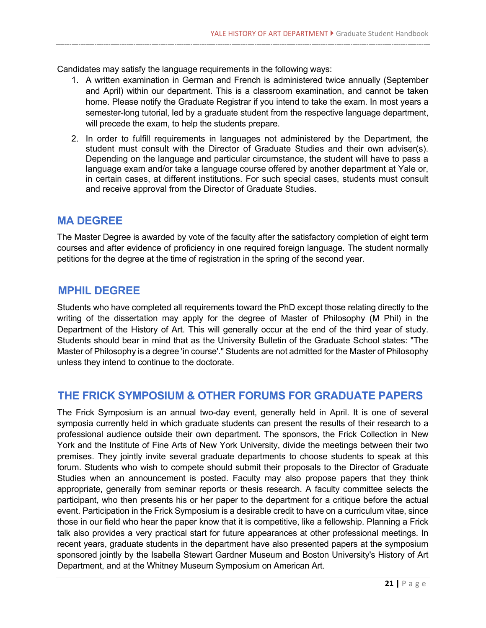Candidates may satisfy the language requirements in the following ways:

- 1. A written examination in German and French is administered twice annually (September and April) within our department. This is a classroom examination, and cannot be taken home. Please notify the Graduate Registrar if you intend to take the exam. In most years a semester-long tutorial, led by a graduate student from the respective language department, will precede the exam, to help the students prepare.
- 2. In order to fulfill requirements in languages not administered by the Department, the student must consult with the Director of Graduate Studies and their own adviser(s). Depending on the language and particular circumstance, the student will have to pass a language exam and/or take a language course offered by another department at Yale or, in certain cases, at different institutions. For such special cases, students must consult and receive approval from the Director of Graduate Studies.

### **MA DEGREE**

The Master Degree is awarded by vote of the faculty after the satisfactory completion of eight term courses and after evidence of proficiency in one required foreign language. The student normally petitions for the degree at the time of registration in the spring of the second year.

# **MPHIL DEGREE**

Students who have completed all requirements toward the PhD except those relating directly to the writing of the dissertation may apply for the degree of Master of Philosophy (M Phil) in the Department of the History of Art. This will generally occur at the end of the third year of study. Students should bear in mind that as the University Bulletin of the Graduate School states: "The Master of Philosophy is a degree 'in course'." Students are not admitted for the Master of Philosophy unless they intend to continue to the doctorate.

# **THE FRICK SYMPOSIUM & OTHER FORUMS FOR GRADUATE PAPERS**

The Frick Symposium is an annual two-day event, generally held in April. It is one of several symposia currently held in which graduate students can present the results of their research to a professional audience outside their own department. The sponsors, the Frick Collection in New York and the Institute of Fine Arts of New York University, divide the meetings between their two premises. They jointly invite several graduate departments to choose students to speak at this forum. Students who wish to compete should submit their proposals to the Director of Graduate Studies when an announcement is posted. Faculty may also propose papers that they think appropriate, generally from seminar reports or thesis research. A faculty committee selects the participant, who then presents his or her paper to the department for a critique before the actual event. Participation in the Frick Symposium is a desirable credit to have on a curriculum vitae, since those in our field who hear the paper know that it is competitive, like a fellowship. Planning a Frick talk also provides a very practical start for future appearances at other professional meetings. In recent years, graduate students in the department have also presented papers at the symposium sponsored jointly by the Isabella Stewart Gardner Museum and Boston University's History of Art Department, and at the Whitney Museum Symposium on American Art.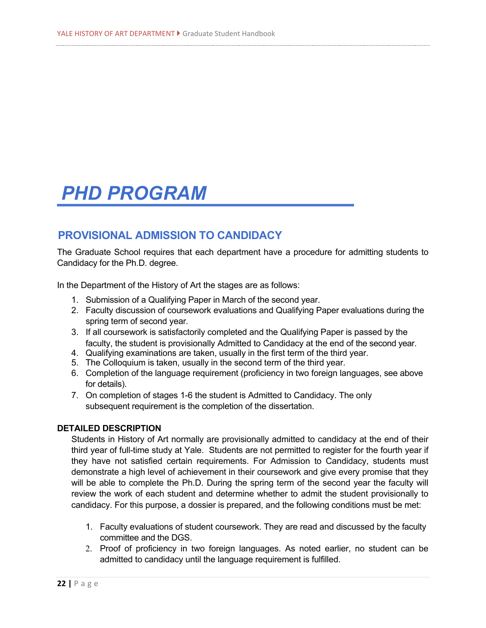# *PHD PROGRAM*

# **PROVISIONAL ADMISSION TO CANDIDACY**

The Graduate School requires that each department have a procedure for admitting students to Candidacy for the Ph.D. degree.

In the Department of the History of Art the stages are as follows:

- 1. Submission of a Qualifying Paper in March of the second year.
- 2. Faculty discussion of coursework evaluations and Qualifying Paper evaluations during the spring term of second year.
- 3. If all coursework is satisfactorily completed and the Qualifying Paper is passed by the faculty, the student is provisionally Admitted to Candidacy at the end of the second year.
- 4. Qualifying examinations are taken, usually in the first term of the third year.
- 5. The Colloquium is taken, usually in the second term of the third year.
- 6. Completion of the language requirement (proficiency in two foreign languages, see above for details).
- 7. On completion of stages 1-6 the student is Admitted to Candidacy. The only subsequent requirement is the completion of the dissertation.

#### **DETAILED DESCRIPTION**

Students in History of Art normally are provisionally admitted to candidacy at the end of their third year of full-time study at Yale. Students are not permitted to register for the fourth year if they have not satisfied certain requirements. For Admission to Candidacy, students must demonstrate a high level of achievement in their coursework and give every promise that they will be able to complete the Ph.D. During the spring term of the second year the faculty will review the work of each student and determine whether to admit the student provisionally to candidacy. For this purpose, a dossier is prepared, and the following conditions must be met:

- 1. Faculty evaluations of student coursework. They are read and discussed by the faculty committee and the DGS.
- 2. Proof of proficiency in two foreign languages. As noted earlier, no student can be admitted to candidacy until the language requirement is fulfilled.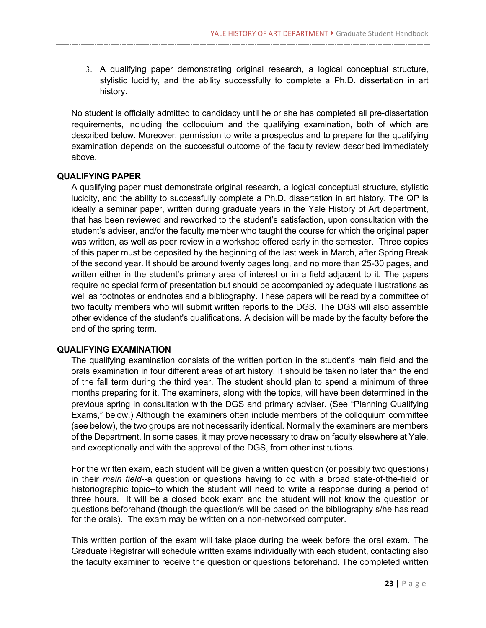3. A qualifying paper demonstrating original research, a logical conceptual structure, stylistic lucidity, and the ability successfully to complete a Ph.D. dissertation in art history.

No student is officially admitted to candidacy until he or she has completed all pre-dissertation requirements, including the colloquium and the qualifying examination, both of which are described below. Moreover, permission to write a prospectus and to prepare for the qualifying examination depends on the successful outcome of the faculty review described immediately above.

#### **QUALIFYING PAPER**

A qualifying paper must demonstrate original research, a logical conceptual structure, stylistic lucidity, and the ability to successfully complete a Ph.D. dissertation in art history. The QP is ideally a seminar paper, written during graduate years in the Yale History of Art department, that has been reviewed and reworked to the student's satisfaction, upon consultation with the student's adviser, and/or the faculty member who taught the course for which the original paper was written, as well as peer review in a workshop offered early in the semester. Three copies of this paper must be deposited by the beginning of the last week in March, after Spring Break of the second year. It should be around twenty pages long, and no more than 25-30 pages, and written either in the student's primary area of interest or in a field adjacent to it. The papers require no special form of presentation but should be accompanied by adequate illustrations as well as footnotes or endnotes and a bibliography. These papers will be read by a committee of two faculty members who will submit written reports to the DGS. The DGS will also assemble other evidence of the student's qualifications. A decision will be made by the faculty before the end of the spring term.

#### **QUALIFYING EXAMINATION**

The qualifying examination consists of the written portion in the student's main field and the orals examination in four different areas of art history. It should be taken no later than the end of the fall term during the third year. The student should plan to spend a minimum of three months preparing for it. The examiners, along with the topics, will have been determined in the previous spring in consultation with the DGS and primary adviser. (See "Planning Qualifying Exams," below.) Although the examiners often include members of the colloquium committee (see below), the two groups are not necessarily identical. Normally the examiners are members of the Department. In some cases, it may prove necessary to draw on faculty elsewhere at Yale, and exceptionally and with the approval of the DGS, from other institutions.

For the written exam, each student will be given a written question (or possibly two questions) in their *main field*--a question or questions having to do with a broad state-of-the-field or historiographic topic--to which the student will need to write a response during a period of three hours. It will be a closed book exam and the student will not know the question or questions beforehand (though the question/s will be based on the bibliography s/he has read for the orals). The exam may be written on a non-networked computer.

This written portion of the exam will take place during the week before the oral exam. The Graduate Registrar will schedule written exams individually with each student, contacting also the faculty examiner to receive the question or questions beforehand. The completed written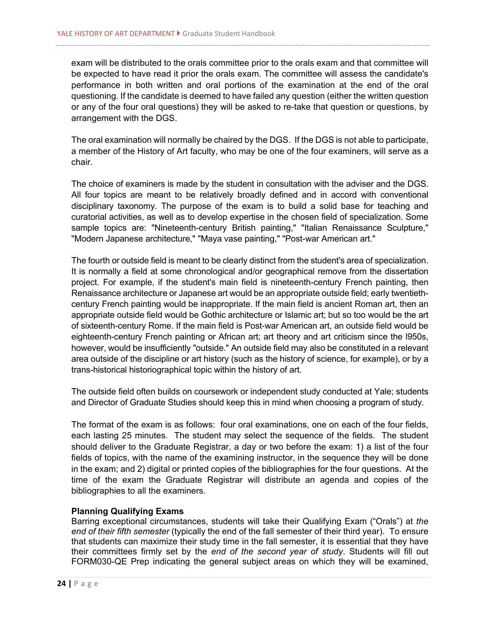exam will be distributed to the orals committee prior to the orals exam and that committee will be expected to have read it prior the orals exam. The committee will assess the candidate's performance in both written and oral portions of the examination at the end of the oral questioning. If the candidate is deemed to have failed any question (either the written question or any of the four oral questions) they will be asked to re-take that question or questions, by arrangement with the DGS.

The oral examination will normally be chaired by the DGS. If the DGS is not able to participate, a member of the History of Art faculty, who may be one of the four examiners, will serve as a chair.

The choice of examiners is made by the student in consultation with the adviser and the DGS. All four topics are meant to be relatively broadly defined and in accord with conventional disciplinary taxonomy. The purpose of the exam is to build a solid base for teaching and curatorial activities, as well as to develop expertise in the chosen field of specialization. Some sample topics are: "Nineteenth-century British painting," "Italian Renaissance Sculpture," "Modern Japanese architecture," "Maya vase painting," "Post-war American art."

The fourth or outside field is meant to be clearly distinct from the student's area of specialization. It is normally a field at some chronological and/or geographical remove from the dissertation project. For example, if the student's main field is nineteenth-century French painting, then Renaissance architecture or Japanese art would be an appropriate outside field; early twentiethcentury French painting would be inappropriate. If the main field is ancient Roman art, then an appropriate outside field would be Gothic architecture or Islamic art; but so too would be the art of sixteenth-century Rome. If the main field is Post-war American art, an outside field would be eighteenth-century French painting or African art; art theory and art criticism since the l950s, however, would be insufficiently "outside." An outside field may also be constituted in a relevant area outside of the discipline or art history (such as the history of science, for example), or by a trans-historical historiographical topic within the history of art.

The outside field often builds on coursework or independent study conducted at Yale; students and Director of Graduate Studies should keep this in mind when choosing a program of study.

The format of the exam is as follows: four oral examinations, one on each of the four fields, each lasting 25 minutes. The student may select the sequence of the fields. The student should deliver to the Graduate Registrar, a day or two before the exam: 1) a list of the four fields of topics, with the name of the examining instructor, in the sequence they will be done in the exam; and 2) digital or printed copies of the bibliographies for the four questions. At the time of the exam the Graduate Registrar will distribute an agenda and copies of the bibliographies to all the examiners.

#### **Planning Qualifying Exams**

Barring exceptional circumstances, students will take their Qualifying Exam ("Orals") at *the end of their fifth semester* (typically the end of the fall semester of their third year). To ensure that students can maximize their study time in the fall semester, it is essential that they have their committees firmly set by the *end of the second year of study*. Students will fill out FORM030-QE Prep indicating the general subject areas on which they will be examined,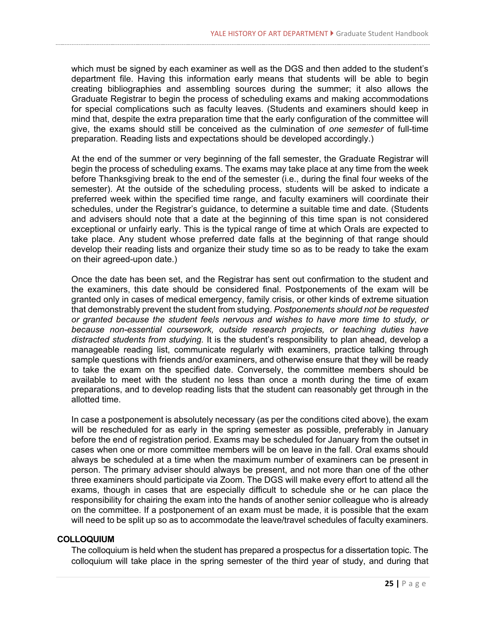which must be signed by each examiner as well as the DGS and then added to the student's department file. Having this information early means that students will be able to begin creating bibliographies and assembling sources during the summer; it also allows the Graduate Registrar to begin the process of scheduling exams and making accommodations for special complications such as faculty leaves. (Students and examiners should keep in mind that, despite the extra preparation time that the early configuration of the committee will give, the exams should still be conceived as the culmination of *one semester* of full-time preparation. Reading lists and expectations should be developed accordingly.)

At the end of the summer or very beginning of the fall semester, the Graduate Registrar will begin the process of scheduling exams. The exams may take place at any time from the week before Thanksgiving break to the end of the semester (i.e., during the final four weeks of the semester). At the outside of the scheduling process, students will be asked to indicate a preferred week within the specified time range, and faculty examiners will coordinate their schedules, under the Registrar's guidance, to determine a suitable time and date. (Students and advisers should note that a date at the beginning of this time span is not considered exceptional or unfairly early. This is the typical range of time at which Orals are expected to take place. Any student whose preferred date falls at the beginning of that range should develop their reading lists and organize their study time so as to be ready to take the exam on their agreed-upon date.)

Once the date has been set, and the Registrar has sent out confirmation to the student and the examiners, this date should be considered final. Postponements of the exam will be granted only in cases of medical emergency, family crisis, or other kinds of extreme situation that demonstrably prevent the student from studying. *Postponements should not be requested or granted because the student feels nervous and wishes to have more time to study, or because non-essential coursework, outside research projects, or teaching duties have distracted students from studying.* It is the student's responsibility to plan ahead, develop a manageable reading list, communicate regularly with examiners, practice talking through sample questions with friends and/or examiners, and otherwise ensure that they will be ready to take the exam on the specified date. Conversely, the committee members should be available to meet with the student no less than once a month during the time of exam preparations, and to develop reading lists that the student can reasonably get through in the allotted time.

In case a postponement is absolutely necessary (as per the conditions cited above), the exam will be rescheduled for as early in the spring semester as possible, preferably in January before the end of registration period. Exams may be scheduled for January from the outset in cases when one or more committee members will be on leave in the fall. Oral exams should always be scheduled at a time when the maximum number of examiners can be present in person. The primary adviser should always be present, and not more than one of the other three examiners should participate via Zoom. The DGS will make every effort to attend all the exams, though in cases that are especially difficult to schedule she or he can place the responsibility for chairing the exam into the hands of another senior colleague who is already on the committee. If a postponement of an exam must be made, it is possible that the exam will need to be split up so as to accommodate the leave/travel schedules of faculty examiners.

#### **COLLOQUIUM**

The colloquium is held when the student has prepared a prospectus for a dissertation topic. The colloquium will take place in the spring semester of the third year of study, and during that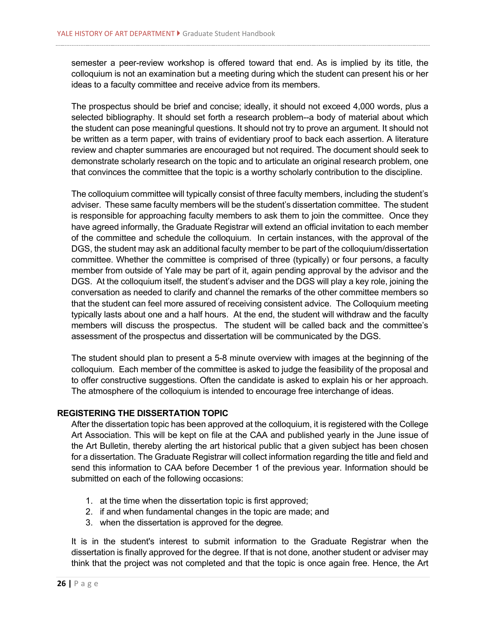semester a peer-review workshop is offered toward that end. As is implied by its title, the colloquium is not an examination but a meeting during which the student can present his or her ideas to a faculty committee and receive advice from its members.

The prospectus should be brief and concise; ideally, it should not exceed 4,000 words, plus a selected bibliography. It should set forth a research problem--a body of material about which the student can pose meaningful questions. It should not try to prove an argument. It should not be written as a term paper, with trains of evidentiary proof to back each assertion. A literature review and chapter summaries are encouraged but not required. The document should seek to demonstrate scholarly research on the topic and to articulate an original research problem, one that convinces the committee that the topic is a worthy scholarly contribution to the discipline.

The colloquium committee will typically consist of three faculty members, including the student's adviser. These same faculty members will be the student's dissertation committee. The student is responsible for approaching faculty members to ask them to join the committee. Once they have agreed informally, the Graduate Registrar will extend an official invitation to each member of the committee and schedule the colloquium. In certain instances, with the approval of the DGS, the student may ask an additional faculty member to be part of the colloquium/dissertation committee. Whether the committee is comprised of three (typically) or four persons, a faculty member from outside of Yale may be part of it, again pending approval by the advisor and the DGS. At the colloquium itself, the student's adviser and the DGS will play a key role, joining the conversation as needed to clarify and channel the remarks of the other committee members so that the student can feel more assured of receiving consistent advice. The Colloquium meeting typically lasts about one and a half hours. At the end, the student will withdraw and the faculty members will discuss the prospectus. The student will be called back and the committee's assessment of the prospectus and dissertation will be communicated by the DGS.

The student should plan to present a 5-8 minute overview with images at the beginning of the colloquium. Each member of the committee is asked to judge the feasibility of the proposal and to offer constructive suggestions. Often the candidate is asked to explain his or her approach. The atmosphere of the colloquium is intended to encourage free interchange of ideas.

#### **REGISTERING THE DISSERTATION TOPIC**

After the dissertation topic has been approved at the colloquium, it is registered with the College Art Association. This will be kept on file at the CAA and published yearly in the June issue of the Art Bulletin, thereby alerting the art historical public that a given subject has been chosen for a dissertation. The Graduate Registrar will collect information regarding the title and field and send this information to CAA before December 1 of the previous year. Information should be submitted on each of the following occasions:

- 1. at the time when the dissertation topic is first approved;
- 2. if and when fundamental changes in the topic are made; and
- 3. when the dissertation is approved for the degree.

It is in the student's interest to submit information to the Graduate Registrar when the dissertation is finally approved for the degree. If that is not done, another student or adviser may think that the project was not completed and that the topic is once again free. Hence, the Art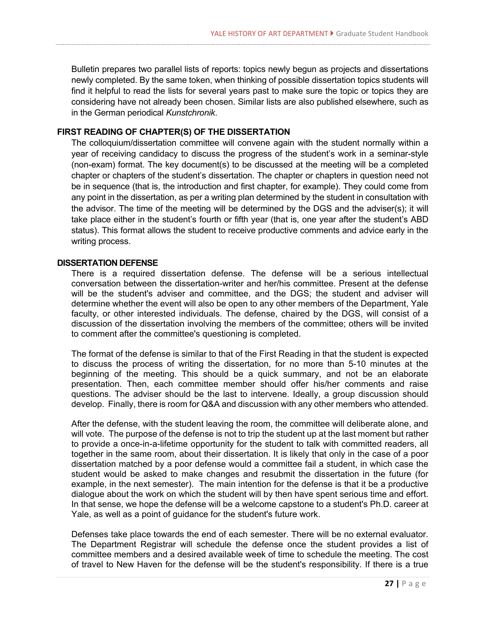Bulletin prepares two parallel lists of reports: topics newly begun as projects and dissertations newly completed. By the same token, when thinking of possible dissertation topics students will find it helpful to read the lists for several years past to make sure the topic or topics they are considering have not already been chosen. Similar lists are also published elsewhere, such as in the German periodical *Kunstchronik*.

#### **FIRST READING OF CHAPTER(S) OF THE DISSERTATION**

The colloquium/dissertation committee will convene again with the student normally within a year of receiving candidacy to discuss the progress of the student's work in a seminar-style (non-exam) format. The key document(s) to be discussed at the meeting will be a completed chapter or chapters of the student's dissertation. The chapter or chapters in question need not be in sequence (that is, the introduction and first chapter, for example). They could come from any point in the dissertation, as per a writing plan determined by the student in consultation with the advisor. The time of the meeting will be determined by the DGS and the adviser(s); it will take place either in the student's fourth or fifth year (that is, one year after the student's ABD status). This format allows the student to receive productive comments and advice early in the writing process.

#### **DISSERTATION DEFENSE**

There is a required dissertation defense. The defense will be a serious intellectual conversation between the dissertation-writer and her/his committee. Present at the defense will be the student's adviser and committee, and the DGS; the student and adviser will determine whether the event will also be open to any other members of the Department, Yale faculty, or other interested individuals. The defense, chaired by the DGS, will consist of a discussion of the dissertation involving the members of the committee; others will be invited to comment after the committee's questioning is completed.

The format of the defense is similar to that of the First Reading in that the student is expected to discuss the process of writing the dissertation, for no more than 5-10 minutes at the beginning of the meeting. This should be a quick summary, and not be an elaborate presentation. Then, each committee member should offer his/her comments and raise questions. The adviser should be the last to intervene. Ideally, a group discussion should develop. Finally, there is room for Q&A and discussion with any other members who attended.

After the defense, with the student leaving the room, the committee will deliberate alone, and will vote. The purpose of the defense is not to trip the student up at the last moment but rather to provide a once-in-a-lifetime opportunity for the student to talk with committed readers, all together in the same room, about their dissertation. It is likely that only in the case of a poor dissertation matched by a poor defense would a committee fail a student, in which case the student would be asked to make changes and resubmit the dissertation in the future (for example, in the next semester). The main intention for the defense is that it be a productive dialogue about the work on which the student will by then have spent serious time and effort. In that sense, we hope the defense will be a welcome capstone to a student's Ph.D. career at Yale, as well as a point of guidance for the student's future work.

Defenses take place towards the end of each semester. There will be no external evaluator. The Department Registrar will schedule the defense once the student provides a list of committee members and a desired available week of time to schedule the meeting. The cost of travel to New Haven for the defense will be the student's responsibility. If there is a true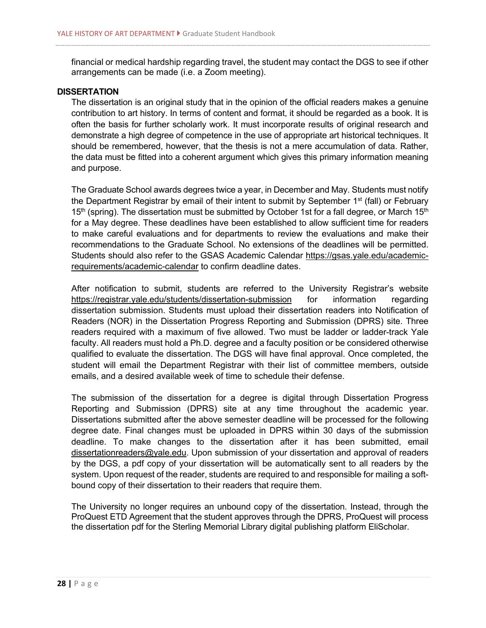financial or medical hardship regarding travel, the student may contact the DGS to see if other arrangements can be made (i.e. a Zoom meeting).

#### **DISSERTATION**

The dissertation is an original study that in the opinion of the official readers makes a genuine contribution to art history. In terms of content and format, it should be regarded as a book. It is often the basis for further scholarly work. It must incorporate results of original research and demonstrate a high degree of competence in the use of appropriate art historical techniques. It should be remembered, however, that the thesis is not a mere accumulation of data. Rather, the data must be fitted into a coherent argument which gives this primary information meaning and purpose.

The Graduate School awards degrees twice a year, in December and May. Students must notify the Department Registrar by email of their intent to submit by September 1<sup>st</sup> (fall) or February 15<sup>th</sup> (spring). The dissertation must be submitted by October 1st for a fall degree, or March 15<sup>th</sup> for a May degree. These deadlines have been established to allow sufficient time for readers to make careful evaluations and for departments to review the evaluations and make their recommendations to the Graduate School. No extensions of the deadlines will be permitted. Students should also refer to the GSAS Academic Calendar [https://gsas.yale.edu/academic](https://gsas.yale.edu/academic-requirements/academic-calendar)[requirements/academic-calendar](https://gsas.yale.edu/academic-requirements/academic-calendar) to confirm deadline dates.

After notification to submit, students are referred to the University Registrar's website <https://registrar.yale.edu/students/dissertation-submission> for information regarding dissertation submission. Students must upload their dissertation readers into Notification of Readers (NOR) in the Dissertation Progress Reporting and Submission (DPRS) site. Three readers required with a maximum of five allowed. Two must be ladder or ladder-track Yale faculty. All readers must hold a Ph.D. degree and a faculty position or be considered otherwise qualified to evaluate the dissertation. The DGS will have final approval. Once completed, the student will email the Department Registrar with their list of committee members, outside emails, and a desired available week of time to schedule their defense.

The submission of the dissertation for a degree is digital through Dissertation Progress Reporting and Submission (DPRS) site at any time throughout the academic year. Dissertations submitted after the above semester deadline will be processed for the following degree date. Final changes must be uploaded in DPRS within 30 days of the submission deadline. To make changes to the dissertation after it has been submitted, email [dissertationreaders@yale.edu.](mailto:dissertationreaders@yale.edu) Upon submission of your dissertation and approval of readers by the DGS, a pdf copy of your dissertation will be automatically sent to all readers by the system. Upon request of the reader, students are required to and responsible for mailing a softbound copy of their dissertation to their readers that require them.

The University no longer requires an unbound copy of the dissertation. Instead, through the ProQuest ETD Agreement that the student approves through the DPRS, ProQuest will process the dissertation pdf for the Sterling Memorial Library digital publishing platform EliScholar.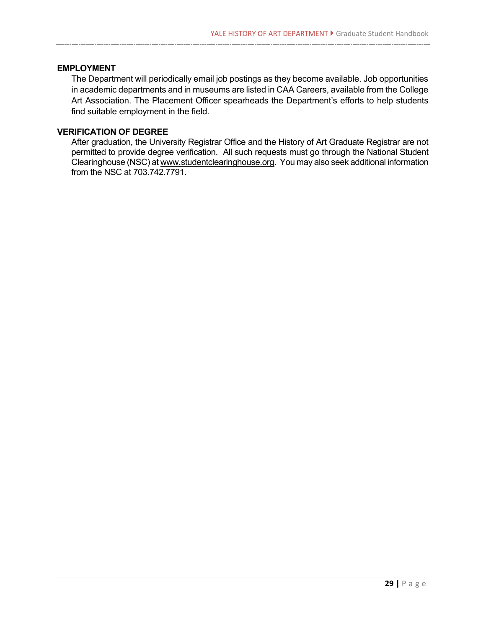#### **EMPLOYMENT**

The Department will periodically email job postings as they become available. Job opportunities in academic departments and in museums are listed in CAA Careers, available from the College Art Association. The Placement Officer spearheads the Department's efforts to help students find suitable employment in the field.

#### **VERIFICATION OF DEGREE**

After graduation, the University Registrar Office and the History of Art Graduate Registrar are not permitted to provide degree verification. All such requests must go through the National Student Clearinghouse (NSC) a[t www.studentclearinghouse.org.](http://www.studentclearinghouse.org/) You may also seek additional information from the NSC at 703.742.7791.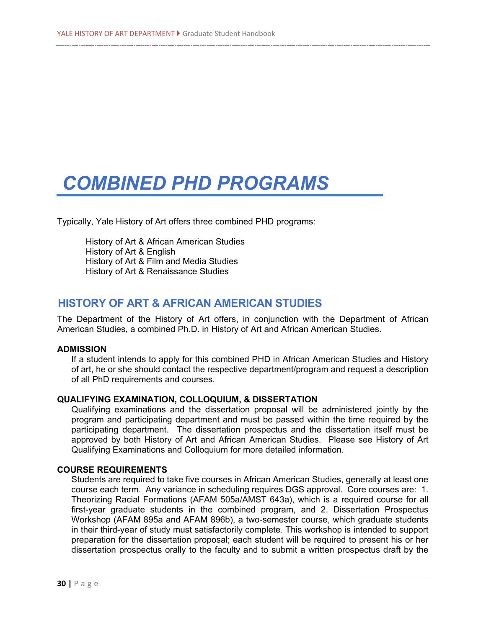# *COMBINED PHD PROGRAMS*

Typically, Yale History of Art offers three combined PHD programs:

History of Art & African American Studies History of Art & English History of Art & Film and Media Studies History of Art & Renaissance Studies

### **HISTORY OF ART & AFRICAN AMERICAN STUDIES**

The Department of the History of Art offers, in conjunction with the Department of African American Studies, a combined Ph.D. in History of Art and African American Studies.

#### **ADMISSION**

If a student intends to apply for this combined PHD in African American Studies and History of art, he or she should contact the respective department/program and request a description of all PhD requirements and courses.

#### **QUALIFYING EXAMINATION, COLLOQUIUM, & DISSERTATION**

Qualifying examinations and the dissertation proposal will be administered jointly by the program and participating department and must be passed within the time required by the participating department. The dissertation prospectus and the dissertation itself must be approved by both History of Art and African American Studies. Please see History of Art Qualifying Examinations and Colloquium for more detailed information.

#### **COURSE REQUIREMENTS**

Students are required to take five courses in African American Studies, generally at least one course each term. Any variance in scheduling requires DGS approval. Core courses are: 1. Theorizing Racial Formations (AFAM 505a/AMST 643a), which is a required course for all first-year graduate students in the combined program, and 2. Dissertation Prospectus Workshop (AFAM 895a and AFAM 896b), a two-semester course, which graduate students in their third-year of study must satisfactorily complete. This workshop is intended to support preparation for the dissertation proposal; each student will be required to present his or her dissertation prospectus orally to the faculty and to submit a written prospectus draft by the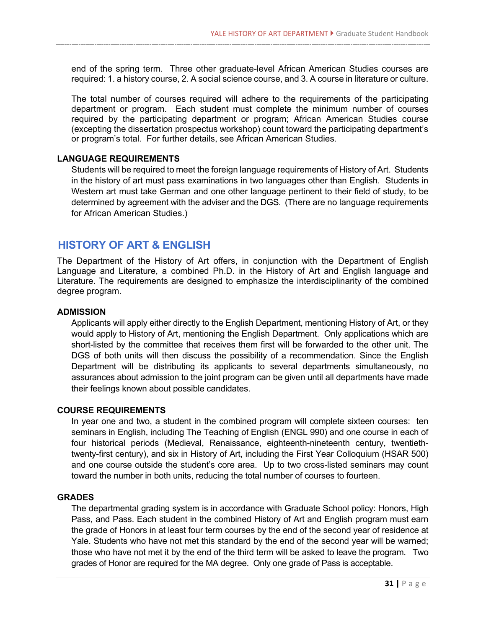end of the spring term. Three other graduate-level African American Studies courses are required: 1. a history course, 2. A social science course, and 3. A course in literature or culture.

The total number of courses required will adhere to the requirements of the participating department or program. Each student must complete the minimum number of courses required by the participating department or program; African American Studies course (excepting the dissertation prospectus workshop) count toward the participating department's or program's total. For further details, see African American Studies.

#### **LANGUAGE REQUIREMENTS**

Students will be required to meet the foreign language requirements of History of Art. Students in the history of art must pass examinations in two languages other than English. Students in Western art must take German and one other language pertinent to their field of study, to be determined by agreement with the adviser and the DGS. (There are no language requirements for African American Studies.)

# **HISTORY OF ART & ENGLISH**

The Department of the History of Art offers, in conjunction with the Department of English Language and Literature, a combined Ph.D. in the History of Art and English language and Literature. The requirements are designed to emphasize the interdisciplinarity of the combined degree program.

#### **ADMISSION**

Applicants will apply either directly to the English Department, mentioning History of Art, or they would apply to History of Art, mentioning the English Department. Only applications which are short-listed by the committee that receives them first will be forwarded to the other unit. The DGS of both units will then discuss the possibility of a recommendation. Since the English Department will be distributing its applicants to several departments simultaneously, no assurances about admission to the joint program can be given until all departments have made their feelings known about possible candidates.

#### **COURSE REQUIREMENTS**

In year one and two, a student in the combined program will complete sixteen courses: ten seminars in English, including The Teaching of English (ENGL 990) and one course in each of four historical periods (Medieval, Renaissance, eighteenth-nineteenth century, twentiethtwenty-first century), and six in History of Art, including the First Year Colloquium (HSAR 500) and one course outside the student's core area. Up to two cross-listed seminars may count toward the number in both units, reducing the total number of courses to fourteen.

#### **GRADES**

The departmental grading system is in accordance with Graduate School policy: Honors, High Pass, and Pass. Each student in the combined History of Art and English program must earn the grade of Honors in at least four term courses by the end of the second year of residence at Yale. Students who have not met this standard by the end of the second year will be warned; those who have not met it by the end of the third term will be asked to leave the program. Two grades of Honor are required for the MA degree. Only one grade of Pass is acceptable.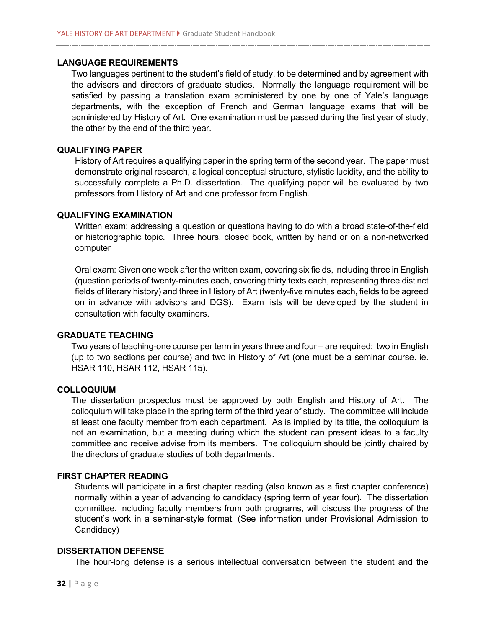#### **LANGUAGE REQUIREMENTS**

Two languages pertinent to the student's field of study, to be determined and by agreement with the advisers and directors of graduate studies. Normally the language requirement will be satisfied by passing a translation exam administered by one by one of Yale's language departments, with the exception of French and German language exams that will be administered by History of Art. One examination must be passed during the first year of study, the other by the end of the third year.

#### **QUALIFYING PAPER**

History of Art requires a qualifying paper in the spring term of the second year. The paper must demonstrate original research, a logical conceptual structure, stylistic lucidity, and the ability to successfully complete a Ph.D. dissertation. The qualifying paper will be evaluated by two professors from History of Art and one professor from English.

#### **QUALIFYING EXAMINATION**

Written exam: addressing a question or questions having to do with a broad state-of-the-field or historiographic topic. Three hours, closed book, written by hand or on a non-networked computer

Oral exam: Given one week after the written exam, covering six fields, including three in English (question periods of twenty-minutes each, covering thirty texts each, representing three distinct fields of literary history) and three in History of Art (twenty-five minutes each, fields to be agreed on in advance with advisors and DGS). Exam lists will be developed by the student in consultation with faculty examiners.

#### **GRADUATE TEACHING**

Two years of teaching-one course per term in years three and four – are required: two in English (up to two sections per course) and two in History of Art (one must be a seminar course. ie. HSAR 110, HSAR 112, HSAR 115).

#### **COLLOQUIUM**

The dissertation prospectus must be approved by both English and History of Art. The colloquium will take place in the spring term of the third year of study. The committee will include at least one faculty member from each department. As is implied by its title, the colloquium is not an examination, but a meeting during which the student can present ideas to a faculty committee and receive advise from its members. The colloquium should be jointly chaired by the directors of graduate studies of both departments.

#### **FIRST CHAPTER READING**

Students will participate in a first chapter reading (also known as a first chapter conference) normally within a year of advancing to candidacy (spring term of year four). The dissertation committee, including faculty members from both programs, will discuss the progress of the student's work in a seminar-style format. (See information under Provisional Admission to Candidacy)

#### **DISSERTATION DEFENSE**

The hour-long defense is a serious intellectual conversation between the student and the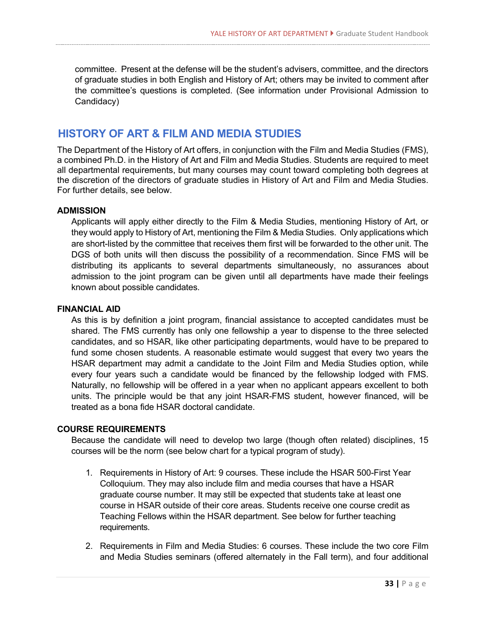committee. Present at the defense will be the student's advisers, committee, and the directors of graduate studies in both English and History of Art; others may be invited to comment after the committee's questions is completed. (See information under Provisional Admission to Candidacy)

# **HISTORY OF ART & FILM AND MEDIA STUDIES**

The Department of the History of Art offers, in conjunction with the Film and Media Studies (FMS), a combined Ph.D. in the History of Art and Film and Media Studies. Students are required to meet all departmental requirements, but many courses may count toward completing both degrees at the discretion of the directors of graduate studies in History of Art and Film and Media Studies. For further details, see below.

#### **ADMISSION**

Applicants will apply either directly to the Film & Media Studies, mentioning History of Art, or they would apply to History of Art, mentioning the Film & Media Studies. Only applications which are short-listed by the committee that receives them first will be forwarded to the other unit. The DGS of both units will then discuss the possibility of a recommendation. Since FMS will be distributing its applicants to several departments simultaneously, no assurances about admission to the joint program can be given until all departments have made their feelings known about possible candidates.

#### **FINANCIAL AID**

As this is by definition a joint program, financial assistance to accepted candidates must be shared. The FMS currently has only one fellowship a year to dispense to the three selected candidates, and so HSAR, like other participating departments, would have to be prepared to fund some chosen students. A reasonable estimate would suggest that every two years the HSAR department may admit a candidate to the Joint Film and Media Studies option, while every four years such a candidate would be financed by the fellowship lodged with FMS. Naturally, no fellowship will be offered in a year when no applicant appears excellent to both units. The principle would be that any joint HSAR-FMS student, however financed, will be treated as a bona fide HSAR doctoral candidate.

#### **COURSE REQUIREMENTS**

Because the candidate will need to develop two large (though often related) disciplines, 15 courses will be the norm (see below chart for a typical program of study).

- 1. Requirements in History of Art: 9 courses. These include the HSAR 500-First Year Colloquium. They may also include film and media courses that have a HSAR graduate course number. It may still be expected that students take at least one course in HSAR outside of their core areas. Students receive one course credit as Teaching Fellows within the HSAR department. See below for further teaching requirements.
- 2. Requirements in Film and Media Studies: 6 courses. These include the two core Film and Media Studies seminars (offered alternately in the Fall term), and four additional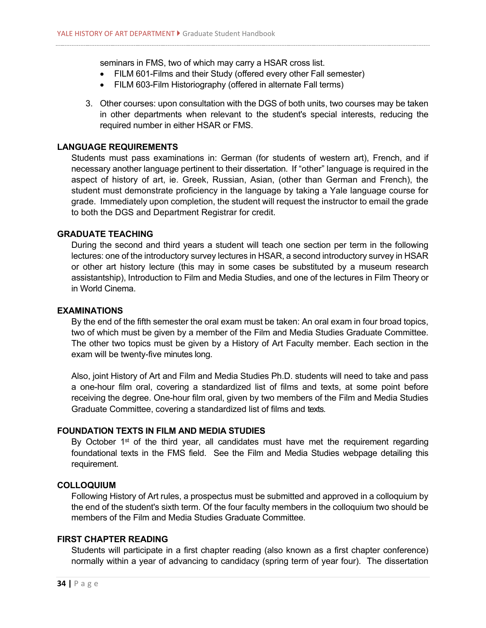seminars in FMS, two of which may carry a HSAR cross list.

- FILM 601-Films and their Study (offered every other Fall semester)
- FILM 603-Film Historiography (offered in alternate Fall terms)
- 3. Other courses: upon consultation with the DGS of both units, two courses may be taken in other departments when relevant to the student's special interests, reducing the required number in either HSAR or FMS.

#### **LANGUAGE REQUIREMENTS**

Students must pass examinations in: German (for students of western art), French, and if necessary another language pertinent to their dissertation. If "other" language is required in the aspect of history of art, ie. Greek, Russian, Asian, (other than German and French), the student must demonstrate proficiency in the language by taking a Yale language course for grade. Immediately upon completion, the student will request the instructor to email the grade to both the DGS and Department Registrar for credit.

#### **GRADUATE TEACHING**

During the second and third years a student will teach one section per term in the following lectures: one of the introductory survey lectures in HSAR, a second introductory survey in HSAR or other art history lecture (this may in some cases be substituted by a museum research assistantship), Introduction to Film and Media Studies, and one of the lectures in Film Theory or in World Cinema.

#### **EXAMINATIONS**

By the end of the fifth semester the oral exam must be taken: An oral exam in four broad topics, two of which must be given by a member of the Film and Media Studies Graduate Committee. The other two topics must be given by a History of Art Faculty member. Each section in the exam will be twenty-five minutes long.

Also, joint History of Art and Film and Media Studies Ph.D. students will need to take and pass a one-hour film oral, covering a standardized list of films and texts, at some point before receiving the degree. One-hour film oral, given by two members of the Film and Media Studies Graduate Committee, covering a standardized list of films and texts.

#### **FOUNDATION TEXTS IN FILM AND MEDIA STUDIES**

By October 1<sup>st</sup> of the third year, all candidates must have met the requirement regarding foundational texts in the FMS field. See the Film and Media Studies webpage detailing this requirement.

#### **COLLOQUIUM**

Following History of Art rules, a prospectus must be submitted and approved in a colloquium by the end of the student's sixth term. Of the four faculty members in the colloquium two should be members of the Film and Media Studies Graduate Committee.

#### **FIRST CHAPTER READING**

Students will participate in a first chapter reading (also known as a first chapter conference) normally within a year of advancing to candidacy (spring term of year four). The dissertation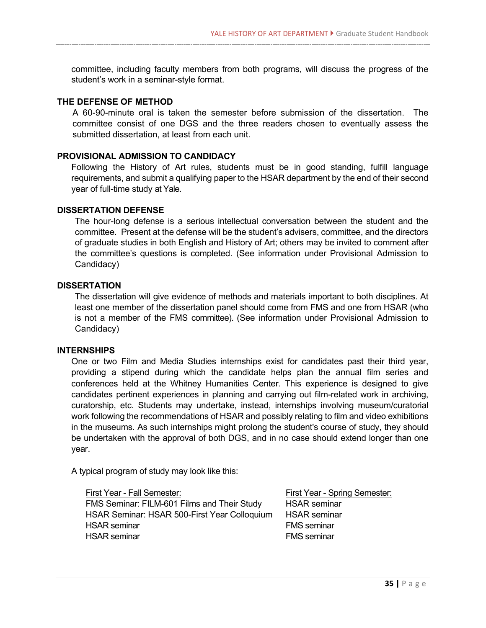committee, including faculty members from both programs, will discuss the progress of the student's work in a seminar-style format.

#### **THE DEFENSE OF METHOD**

A 60-90-minute oral is taken the semester before submission of the dissertation. The committee consist of one DGS and the three readers chosen to eventually assess the submitted dissertation, at least from each unit.

#### **PROVISIONAL ADMISSION TO CANDIDACY**

Following the History of Art rules, students must be in good standing, fulfill language requirements, and submit a qualifying paper to the HSAR department by the end of their second year of full-time study at Yale.

#### **DISSERTATION DEFENSE**

The hour-long defense is a serious intellectual conversation between the student and the committee. Present at the defense will be the student's advisers, committee, and the directors of graduate studies in both English and History of Art; others may be invited to comment after the committee's questions is completed. (See information under Provisional Admission to Candidacy)

#### **DISSERTATION**

The dissertation will give evidence of methods and materials important to both disciplines. At least one member of the dissertation panel should come from FMS and one from HSAR (who is not a member of the FMS committee). (See information under Provisional Admission to Candidacy)

#### **INTERNSHIPS**

One or two Film and Media Studies internships exist for candidates past their third year, providing a stipend during which the candidate helps plan the annual film series and conferences held at the Whitney Humanities Center. This experience is designed to give candidates pertinent experiences in planning and carrying out film-related work in archiving, curatorship, etc. Students may undertake, instead, internships involving museum/curatorial work following the recommendations of HSAR and possibly relating to film and video exhibitions in the museums. As such internships might prolong the student's course of study, they should be undertaken with the approval of both DGS, and in no case should extend longer than one year.

A typical program of study may look like this:

First Year - Fall Semester: First Year - Spring Semester: FMS Seminar: FILM-601 Films and Their Study HSAR seminar HSAR Seminar: HSAR 500-First Year Colloquium HSAR seminar HSAR seminar FMS seminar HSAR seminar FMS seminar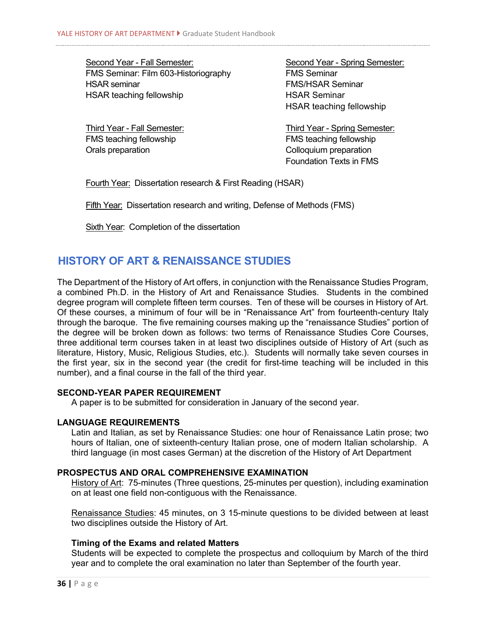Second Year - Fall Semester: Second Year - Spring Semester: FMS Seminar: Film 603-Historiography FMS Seminar HSAR seminar FMS/HSAR Seminar HSAR teaching fellowship HSAR Seminar

HSAR teaching fellowship

FMS teaching fellowship **FMS** teaching fellowship Orals preparation Colloquium preparation

Third Year - Fall Semester: Third Year - Spring Semester: Foundation Texts in FMS

Fourth Year: Dissertation research & First Reading (HSAR)

Fifth Year: Dissertation research and writing, Defense of Methods (FMS)

Sixth Year: Completion of the dissertation

# **HISTORY OF ART & RENAISSANCE STUDIES**

The Department of the History of Art offers, in conjunction with the Renaissance Studies Program, a combined Ph.D. in the History of Art and Renaissance Studies. Students in the combined degree program will complete fifteen term courses. Ten of these will be courses in History of Art. Of these courses, a minimum of four will be in "Renaissance Art" from fourteenth-century Italy through the baroque. The five remaining courses making up the "renaissance Studies" portion of the degree will be broken down as follows: two terms of Renaissance Studies Core Courses, three additional term courses taken in at least two disciplines outside of History of Art (such as literature, History, Music, Religious Studies, etc.). Students will normally take seven courses in the first year, six in the second year (the credit for first-time teaching will be included in this number), and a final course in the fall of the third year.

#### **SECOND-YEAR PAPER REQUIREMENT**

A paper is to be submitted for consideration in January of the second year.

#### **LANGUAGE REQUIREMENTS**

Latin and Italian, as set by Renaissance Studies: one hour of Renaissance Latin prose; two hours of Italian, one of sixteenth-century Italian prose, one of modern Italian scholarship. A third language (in most cases German) at the discretion of the History of Art Department

#### **PROSPECTUS AND ORAL COMPREHENSIVE EXAMINATION**

History of Art: 75-minutes (Three questions, 25-minutes per question), including examination on at least one field non-contiguous with the Renaissance.

Renaissance Studies: 45 minutes, on 3 15-minute questions to be divided between at least two disciplines outside the History of Art.

#### **Timing of the Exams and related Matters**

Students will be expected to complete the prospectus and colloquium by March of the third year and to complete the oral examination no later than September of the fourth year.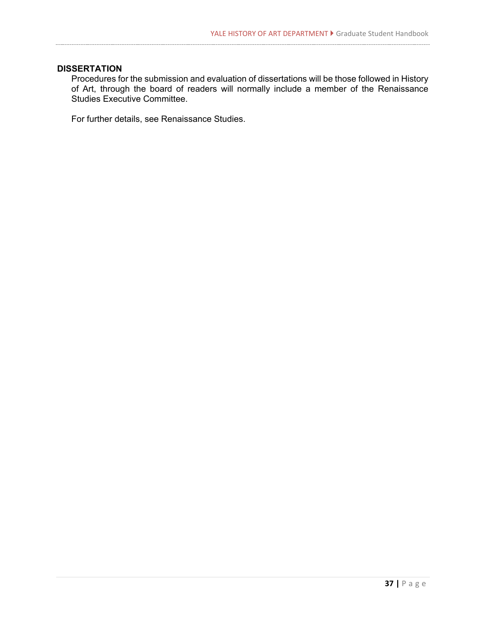#### **DISSERTATION**

Procedures for the submission and evaluation of dissertations will be those followed in History of Art, through the board of readers will normally include a member of the Renaissance Studies Executive Committee.

For further details, see Renaissance Studies.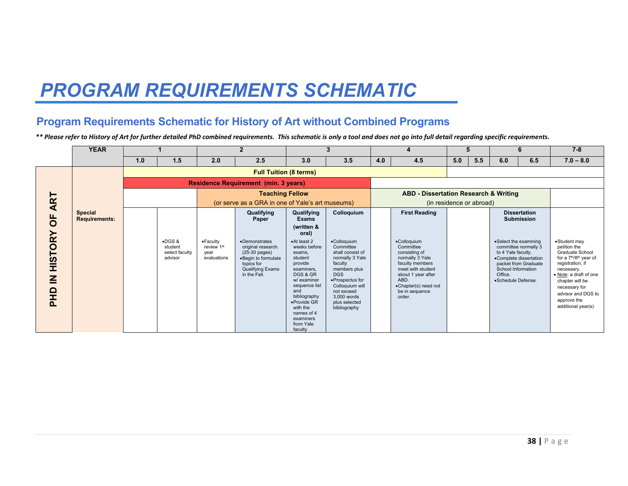# *PROGRAM REQUIREMENTS SCHEMATIC*

# **Program Requirements Schematic for History of Art without Combined Programs**

*\*\* Please refer to History of Art for further detailed PhD combined requirements. This schematic is only a tool and does not go into full detail regarding specific requirements.* 

|                                                                     | <b>YEAR</b>                            |     |                                                         |                                                                    | $\overline{2}$                                                                                                                                 |                                                                                                                                                                                                                            | 3                                                                                                                                                                                                            |     |                                                                                                                                                                                        |                          | 5   |                                                                                                    | 6                                                                      | $7 - 8$                                                                                                                                                                                                                                                      |
|---------------------------------------------------------------------|----------------------------------------|-----|---------------------------------------------------------|--------------------------------------------------------------------|------------------------------------------------------------------------------------------------------------------------------------------------|----------------------------------------------------------------------------------------------------------------------------------------------------------------------------------------------------------------------------|--------------------------------------------------------------------------------------------------------------------------------------------------------------------------------------------------------------|-----|----------------------------------------------------------------------------------------------------------------------------------------------------------------------------------------|--------------------------|-----|----------------------------------------------------------------------------------------------------|------------------------------------------------------------------------|--------------------------------------------------------------------------------------------------------------------------------------------------------------------------------------------------------------------------------------------------------------|
|                                                                     |                                        | 1.0 | 1.5                                                     | 2.0                                                                | 2.5                                                                                                                                            | 3.0                                                                                                                                                                                                                        | 3.5                                                                                                                                                                                                          | 4.0 | 4.5                                                                                                                                                                                    | 5.0                      | 5.5 | 6.0                                                                                                | 6.5                                                                    | $7.0 - 8.0$                                                                                                                                                                                                                                                  |
|                                                                     |                                        |     |                                                         |                                                                    | <b>Full Tuition (8 terms)</b>                                                                                                                  |                                                                                                                                                                                                                            |                                                                                                                                                                                                              |     |                                                                                                                                                                                        |                          |     |                                                                                                    |                                                                        |                                                                                                                                                                                                                                                              |
|                                                                     |                                        |     |                                                         | <b>Residence Requirement (min. 3 years)</b>                        |                                                                                                                                                |                                                                                                                                                                                                                            |                                                                                                                                                                                                              |     |                                                                                                                                                                                        |                          |     |                                                                                                    |                                                                        |                                                                                                                                                                                                                                                              |
|                                                                     |                                        |     |                                                         |                                                                    | <b>Teaching Fellow</b>                                                                                                                         |                                                                                                                                                                                                                            |                                                                                                                                                                                                              |     | <b>ABD - Dissertation Research &amp; Writing</b>                                                                                                                                       |                          |     |                                                                                                    |                                                                        |                                                                                                                                                                                                                                                              |
| ART                                                                 |                                        |     |                                                         |                                                                    |                                                                                                                                                |                                                                                                                                                                                                                            | (or serve as a GRA in one of Yale's art museums)                                                                                                                                                             |     |                                                                                                                                                                                        | (in residence or abroad) |     |                                                                                                    |                                                                        |                                                                                                                                                                                                                                                              |
| $\overline{0}$                                                      | <b>Special</b><br><b>Requirements:</b> |     |                                                         |                                                                    | Qualifying<br>Paper                                                                                                                            | Qualifying<br><b>Exams</b>                                                                                                                                                                                                 | Colloquium                                                                                                                                                                                                   |     | <b>First Reading</b>                                                                                                                                                                   |                          |     |                                                                                                    | <b>Dissertation</b><br><b>Submission</b>                               |                                                                                                                                                                                                                                                              |
|                                                                     |                                        |     |                                                         |                                                                    |                                                                                                                                                | (written &<br>oral)                                                                                                                                                                                                        |                                                                                                                                                                                                              |     |                                                                                                                                                                                        |                          |     |                                                                                                    |                                                                        |                                                                                                                                                                                                                                                              |
| <b>HISTORY</b><br>$\overline{\underline{\mathbf{z}}}$<br><b>OHP</b> |                                        |     | $\bullet$ DGS &<br>student<br>select faculty<br>advisor | $\bullet$ Faculty<br>review 1 <sup>st</sup><br>vear<br>evaluations | •Demonstrates<br>original research.<br>$(25-30 \text{ pages})$<br>.Begin to formulate<br>topics for<br><b>Qualifying Exams</b><br>in the Fall. | •At least 2<br>weeks before<br>exams.<br>student<br>provide<br>examiners.<br>DGS & GR<br>w/ examiner<br>sequence list<br>and<br>bibliography<br>•Provide GR<br>with the<br>names of 4<br>examiners<br>from Yale<br>faculty | •Colloguium<br>Committee<br>shall consist of<br>normally 3 Yale<br>faculty<br>members plus<br><b>DGS</b><br>•Prospectus for<br>Colloquium will<br>not exceed<br>3.000 words<br>plus selected<br>bibliography |     | •Colloguium<br>Committee<br>consisting of<br>normally 3 Yale<br>faculty members<br>meet with student<br>about 1 year after<br>ABD.<br>•Chapter(s) need not<br>be in sequence<br>order. |                          |     | •Select the examining<br>to 4 Yale faculty.<br>School Information<br>Office.<br>·Schedule Defense. | committee normally 3<br>•Complete dissertation<br>packet from Graduate | •Student may<br>petition the<br>Graduate School<br>for a 7 <sup>th</sup> /8 <sup>th</sup> year of<br>registration, if<br>necessary.<br>• Note: a draft of one<br>chapter will be<br>necessary for<br>advisor and DGS to<br>approve the<br>additional year(s) |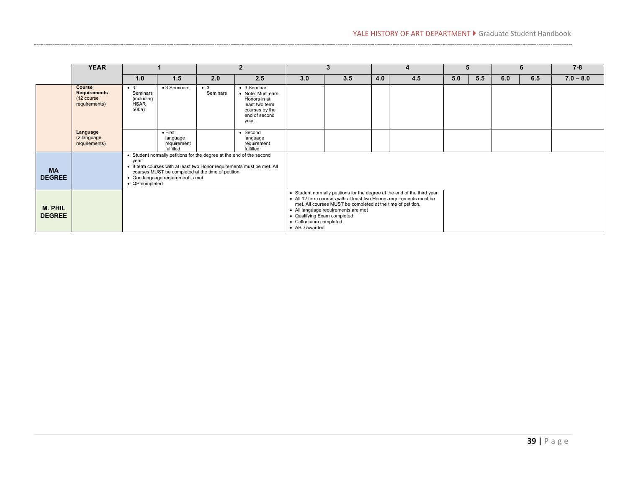|                            | <b>YEAR</b>                                                  |                                                               |                                                                                                                                                                 | $\overline{2}$          |                                                                                                                |                                                                        | 3                                                                                                  | 4   |                                                                                                                                                  | 5   |     | 6   |     | $7 - 8$     |
|----------------------------|--------------------------------------------------------------|---------------------------------------------------------------|-----------------------------------------------------------------------------------------------------------------------------------------------------------------|-------------------------|----------------------------------------------------------------------------------------------------------------|------------------------------------------------------------------------|----------------------------------------------------------------------------------------------------|-----|--------------------------------------------------------------------------------------------------------------------------------------------------|-----|-----|-----|-----|-------------|
|                            |                                                              | 1.0                                                           | 1.5                                                                                                                                                             | 2.0                     | 2.5                                                                                                            | 3.0                                                                    | 3.5                                                                                                | 4.0 | 4.5                                                                                                                                              | 5.0 | 5.5 | 6.0 | 6.5 | $7.0 - 8.0$ |
|                            | Course<br><b>Requirements</b><br>(12 course<br>requirements) | $\bullet$ 3<br>Seminars<br>(including<br><b>HSAR</b><br>500a) | • 3 Seminars                                                                                                                                                    | $\bullet$ 3<br>Seminars | • 3 Seminar<br>• Note: Must earn<br>Honors in at<br>least two term<br>courses by the<br>end of second<br>year. |                                                                        |                                                                                                    |     |                                                                                                                                                  |     |     |     |     |             |
|                            | Language<br>(2 language<br>requirements)                     |                                                               | $\bullet$ First<br>language<br>requirement<br>fulfilled                                                                                                         |                         | $\bullet$ Second<br>language<br>requirement<br>fulfilled                                                       |                                                                        |                                                                                                    |     |                                                                                                                                                  |     |     |     |     |             |
| <b>MA</b><br><b>DEGREE</b> |                                                              | year<br>• QP completed                                        | • Student normally petitions for the degree at the end of the second<br>courses MUST be completed at the time of petition.<br>• One language requirement is met |                         | • 8 term courses with at least two Honor requirements must be met. All                                         |                                                                        |                                                                                                    |     |                                                                                                                                                  |     |     |     |     |             |
| M. PHIL<br><b>DEGREE</b>   |                                                              |                                                               |                                                                                                                                                                 |                         |                                                                                                                | • Qualifying Exam completed<br>• Colloquium completed<br>• ABD awarded | met. All courses MUST be completed at the time of petition.<br>• All language requirements are met |     | • Student normally petitions for the degree at the end of the third year.<br>• All 12 term courses with at least two Honors requirements must be |     |     |     |     |             |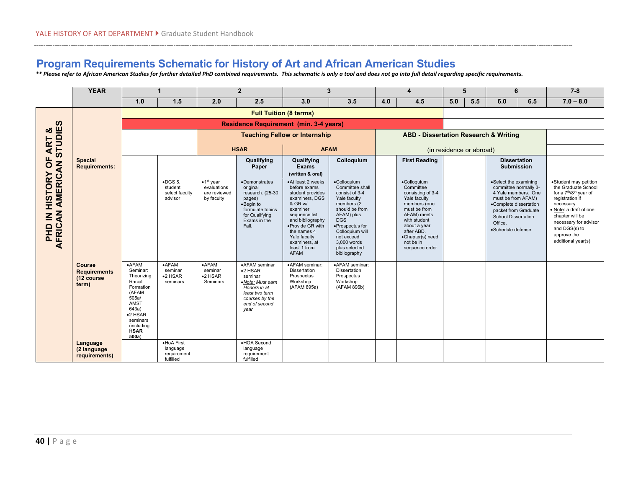# **Program Requirements Schematic for History of Art and African American Studies**

*\*\* Please refer to African American Studies for further detailed PhD combined requirements. This schematic is only a tool and does not go into full detail regarding specific requirements.* 

|                                                                  | <b>YEAR</b>                                                 | 1                                                                                                                                                          |                                                        | $\overline{2}$                                                              |                                                                                                                                        | $\overline{3}$                                                                                                                                                                                                                         |                                                                                                                                                                                                                                  | $\overline{\mathbf{4}}$ |                                                                                                                                                                                                                | 5                        |     | 6                                                                                                                                                                                                            |     | $7 - 8$                                                                                                                                                                                                                                                     |
|------------------------------------------------------------------|-------------------------------------------------------------|------------------------------------------------------------------------------------------------------------------------------------------------------------|--------------------------------------------------------|-----------------------------------------------------------------------------|----------------------------------------------------------------------------------------------------------------------------------------|----------------------------------------------------------------------------------------------------------------------------------------------------------------------------------------------------------------------------------------|----------------------------------------------------------------------------------------------------------------------------------------------------------------------------------------------------------------------------------|-------------------------|----------------------------------------------------------------------------------------------------------------------------------------------------------------------------------------------------------------|--------------------------|-----|--------------------------------------------------------------------------------------------------------------------------------------------------------------------------------------------------------------|-----|-------------------------------------------------------------------------------------------------------------------------------------------------------------------------------------------------------------------------------------------------------------|
|                                                                  |                                                             | 1.0                                                                                                                                                        | 1.5                                                    | 2.0                                                                         | 2.5                                                                                                                                    | 3.0                                                                                                                                                                                                                                    | 3.5                                                                                                                                                                                                                              | 4.0                     | 4.5                                                                                                                                                                                                            | 5.0                      | 5.5 | 6.0                                                                                                                                                                                                          | 6.5 | $7.0 - 8.0$                                                                                                                                                                                                                                                 |
|                                                                  |                                                             | <b>Full Tuition (8 terms)</b>                                                                                                                              |                                                        |                                                                             |                                                                                                                                        |                                                                                                                                                                                                                                        |                                                                                                                                                                                                                                  |                         |                                                                                                                                                                                                                |                          |     |                                                                                                                                                                                                              |     |                                                                                                                                                                                                                                                             |
| <b>SC</b>                                                        |                                                             | <b>Residence Requirement (min. 3-4 years)</b>                                                                                                              |                                                        |                                                                             |                                                                                                                                        |                                                                                                                                                                                                                                        |                                                                                                                                                                                                                                  |                         |                                                                                                                                                                                                                |                          |     |                                                                                                                                                                                                              |     |                                                                                                                                                                                                                                                             |
| <b>STUDIE</b><br>ఱ                                               |                                                             |                                                                                                                                                            |                                                        |                                                                             | <b>Teaching Fellow or Internship</b>                                                                                                   |                                                                                                                                                                                                                                        |                                                                                                                                                                                                                                  |                         | <b>ABD - Dissertation Research &amp; Writing</b>                                                                                                                                                               |                          |     |                                                                                                                                                                                                              |     |                                                                                                                                                                                                                                                             |
| <b>ART</b>                                                       |                                                             |                                                                                                                                                            |                                                        | <b>HSAR</b>                                                                 |                                                                                                                                        | <b>AFAM</b>                                                                                                                                                                                                                            |                                                                                                                                                                                                                                  |                         |                                                                                                                                                                                                                | (in residence or abroad) |     |                                                                                                                                                                                                              |     |                                                                                                                                                                                                                                                             |
| b<br>O                                                           | <b>Special</b><br><b>Requirements:</b>                      |                                                                                                                                                            |                                                        |                                                                             | Qualifying<br>Paper                                                                                                                    | Qualifying<br><b>Exams</b><br>(written & oral)                                                                                                                                                                                         | Colloquium                                                                                                                                                                                                                       |                         | <b>First Reading</b>                                                                                                                                                                                           |                          |     | <b>Dissertation</b><br><b>Submission</b>                                                                                                                                                                     |     |                                                                                                                                                                                                                                                             |
| AFRICAN AMERICAN<br><b>HISTORY</b><br>$\mathbf{z}$<br><b>OHS</b> |                                                             |                                                                                                                                                            | $\bullet$ DGS&<br>student<br>select faculty<br>advisor | $\bullet$ 1 <sup>st</sup> year<br>evaluations<br>are reviewed<br>by faculty | •Demonstrates<br>original<br>research. (25-30<br>pages)<br>•Beain to<br>formulate topics<br>for Qualifying<br>Exams in the<br>Fall.    | •At least 2 weeks<br>before exams<br>student provides<br>examiners, DGS<br>& GR w/<br>examiner<br>sequence list<br>and bibliography<br>•Provide GR with<br>the names 4<br>Yale faculty<br>examiners, at<br>least 1 from<br><b>AFAM</b> | •Colloquium<br>Committee shall<br>consist of 3-4<br>Yale faculty<br>members (2<br>should be from<br>AFAM) plus<br><b>DGS</b><br>·Prospectus for<br>Colloquium will<br>not exceed<br>3.000 words<br>plus selected<br>bibliography |                         | •Colloquium<br>Committee<br>consisting of 3-4<br>Yale faculty<br>members (one<br>must be from<br>AFAM) meets<br>with student<br>about a year<br>after ABD.<br>•Chapter(s) need<br>not be in<br>sequence order. |                          |     | •Select the examining<br>committee normally 3-<br>4 Yale members. One<br>must be from AFAM)<br>•Complete dissertation<br>packet from Graduate<br><b>School Dissertation</b><br>Office.<br>·Schedule defense. |     | ·Student may petition<br>the Graduate School<br>for a 7 <sup>th</sup> /8 <sup>th</sup> year of<br>registration if<br>necessary.<br>· Note: a draft of one<br>chapter will be<br>necessary for advisor<br>and DGS(s) to<br>approve the<br>additional year(s) |
|                                                                  | <b>Course</b><br><b>Requirements</b><br>(12 course<br>term) | $-AFAM$<br>Seminar:<br>Theorizing<br>Racial<br>Formation<br>(AFAM<br>505a/<br>AMST<br>643a)<br>$•2$ HSAR<br>seminars<br>(including<br><b>HSAR</b><br>500a) | $-AFAM$<br>seminar<br>$•2$ HSAR<br>seminars            | $\bullet$ AFAM<br>seminar<br>$•2$ HSAR<br>Seminars                          | •AFAM seminar<br>$•2$ HSAR<br>seminar<br>•Note: Must earn<br>Honors in at<br>least two term<br>courses by the<br>end of second<br>year | ·AFAM seminar:<br>Dissertation<br>Prospectus<br>Workshop<br>(AFAM 895a)                                                                                                                                                                | •AFAM seminar:<br>Dissertation<br>Prospectus<br>Workshop<br>(AFAM 896b)                                                                                                                                                          |                         |                                                                                                                                                                                                                |                          |     |                                                                                                                                                                                                              |     |                                                                                                                                                                                                                                                             |
|                                                                  | Language<br>(2 language<br>requirements)                    |                                                                                                                                                            | ·HoA First<br>language<br>requirement<br>fulfilled     |                                                                             | •HOA Second<br>language<br>requirement<br>fulfilled                                                                                    |                                                                                                                                                                                                                                        |                                                                                                                                                                                                                                  |                         |                                                                                                                                                                                                                |                          |     |                                                                                                                                                                                                              |     |                                                                                                                                                                                                                                                             |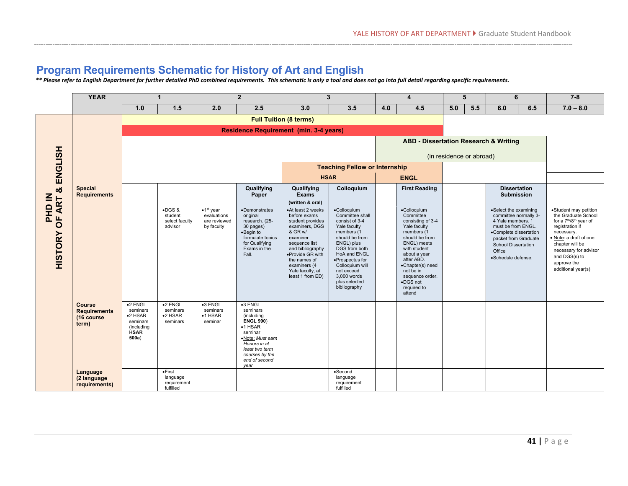# **Program Requirements Schematic for History of Art and English**

*\*\* Please refer to English Department for further detailed PhD combined requirements. This schematic is only a tool and does not go into full detail regarding specific requirements.* 

|                                                                | <b>YEAR</b>                                                 | $\blacktriangleleft$                                                                        |                                                         | $\overline{2}$                                                  |                                                                                                                                                                                         | $\mathbf{3}$                                                                                                                                                                                               |                                                                                                                                                                                                                                      | 4   |                                                                                                                                                                                                                                               | 5   |                          | 6                                                                                                                                                                                |     | $7 - 8$                                                                                                                                                                                                                            |
|----------------------------------------------------------------|-------------------------------------------------------------|---------------------------------------------------------------------------------------------|---------------------------------------------------------|-----------------------------------------------------------------|-----------------------------------------------------------------------------------------------------------------------------------------------------------------------------------------|------------------------------------------------------------------------------------------------------------------------------------------------------------------------------------------------------------|--------------------------------------------------------------------------------------------------------------------------------------------------------------------------------------------------------------------------------------|-----|-----------------------------------------------------------------------------------------------------------------------------------------------------------------------------------------------------------------------------------------------|-----|--------------------------|----------------------------------------------------------------------------------------------------------------------------------------------------------------------------------|-----|------------------------------------------------------------------------------------------------------------------------------------------------------------------------------------------------------------------------------------|
|                                                                |                                                             | 1.0                                                                                         | 1.5                                                     | 2.0                                                             | 2.5                                                                                                                                                                                     | 3.0                                                                                                                                                                                                        | 3.5                                                                                                                                                                                                                                  | 4.0 | 4.5                                                                                                                                                                                                                                           | 5.0 | 5.5                      | 6.0                                                                                                                                                                              | 6.5 | $7.0 - 8.0$                                                                                                                                                                                                                        |
|                                                                |                                                             | <b>Full Tuition (8 terms)</b>                                                               |                                                         |                                                                 |                                                                                                                                                                                         |                                                                                                                                                                                                            |                                                                                                                                                                                                                                      |     |                                                                                                                                                                                                                                               |     |                          |                                                                                                                                                                                  |     |                                                                                                                                                                                                                                    |
|                                                                |                                                             | <b>Residence Requirement (min. 3-4 years)</b>                                               |                                                         |                                                                 |                                                                                                                                                                                         |                                                                                                                                                                                                            |                                                                                                                                                                                                                                      |     |                                                                                                                                                                                                                                               |     |                          |                                                                                                                                                                                  |     |                                                                                                                                                                                                                                    |
|                                                                |                                                             |                                                                                             |                                                         |                                                                 |                                                                                                                                                                                         |                                                                                                                                                                                                            |                                                                                                                                                                                                                                      |     | <b>ABD - Dissertation Research &amp; Writing</b>                                                                                                                                                                                              |     |                          |                                                                                                                                                                                  |     |                                                                                                                                                                                                                                    |
| <b>ENGLISH</b>                                                 |                                                             |                                                                                             |                                                         |                                                                 |                                                                                                                                                                                         |                                                                                                                                                                                                            |                                                                                                                                                                                                                                      |     |                                                                                                                                                                                                                                               |     | (in residence or abroad) |                                                                                                                                                                                  |     |                                                                                                                                                                                                                                    |
|                                                                |                                                             |                                                                                             |                                                         |                                                                 |                                                                                                                                                                                         |                                                                                                                                                                                                            | <b>Teaching Fellow or Internship</b>                                                                                                                                                                                                 |     |                                                                                                                                                                                                                                               |     |                          |                                                                                                                                                                                  |     |                                                                                                                                                                                                                                    |
|                                                                |                                                             |                                                                                             |                                                         |                                                                 |                                                                                                                                                                                         | <b>HSAR</b>                                                                                                                                                                                                |                                                                                                                                                                                                                                      |     | <b>ENGL</b>                                                                                                                                                                                                                                   |     |                          |                                                                                                                                                                                  |     |                                                                                                                                                                                                                                    |
| ග්<br>NI GHO<br><b>ART</b><br>$\overline{5}$<br><b>HISTORY</b> | <b>Special</b><br><b>Requirements</b>                       |                                                                                             | $\bullet$ DGS &                                         | $\bullet$ 1 <sup>st</sup> year                                  | Qualifying<br>Paper<br>•Demonstrates                                                                                                                                                    | Qualifying<br><b>Exams</b><br>(written & oral)<br>•At least 2 weeks                                                                                                                                        | Colloquium<br>•Colloquium                                                                                                                                                                                                            |     | <b>First Reading</b><br>•Colloquium                                                                                                                                                                                                           |     |                          | <b>Dissertation</b><br><b>Submission</b><br>•Select the examining                                                                                                                |     | ·Student may petition                                                                                                                                                                                                              |
|                                                                |                                                             |                                                                                             | student<br>select faculty<br>advisor                    | evaluations<br>are reviewed<br>by faculty                       | original<br>research. (25-<br>30 pages)<br>•Begin to<br>formulate topics<br>for Qualifying<br>Exams in the<br>Fall.                                                                     | before exams<br>student provides<br>examiners, DGS<br>& GR w/<br>examiner<br>sequence list<br>and bibliography<br>•Provide GR with<br>the names of<br>examiners (4<br>Yale faculty, at<br>least 1 from ED) | Committee shall<br>consist of 3-4<br>Yale faculty<br>members (1<br>should be from<br>ENGL) plus<br>DGS from both<br>HoA and ENGL<br>•Prospectus for<br>Colloquium will<br>not exceed<br>3.000 words<br>plus selected<br>bibliography |     | Committee<br>consisting of 3-4<br>Yale faculty<br>members (1<br>should be from<br>ENGL) meets<br>with student<br>about a year<br>after ABD.<br>•Chapter(s) need<br>not be in<br>sequence order.<br>$\bullet$ DGS not<br>required to<br>attend |     |                          | committee normally 3-<br>4 Yale members, 1<br>must be from ENGL.<br>•Complete dissertation<br>packet from Graduate<br><b>School Dissertation</b><br>Office<br>·Schedule defense. |     | the Graduate School<br>for a 7 <sup>th</sup> /8 <sup>th</sup> year of<br>registration if<br>necessary.<br>· Note: a draft of one<br>chapter will be<br>necessary for advisor<br>and DGS(s) to<br>approve the<br>additional year(s) |
|                                                                | <b>Course</b><br><b>Requirements</b><br>(16 course<br>term) | $\bullet$ 2 ENGL<br>seminars<br>$•2$ HSAR<br>seminars<br>(including<br><b>HSAR</b><br>500a) | $\bullet$ 2 ENGL<br>seminars<br>$•2$ HSAR<br>seminars   | $\overline{\bullet}$ 3 ENGL<br>seminars<br>$•1$ HSAR<br>seminar | $\bullet$ 3 ENGL<br>seminars<br>(including<br><b>ENGL 990)</b><br>$•1$ HSAR<br>seminar<br>•Note: Must earn<br>Honors in at<br>least two term<br>courses by the<br>end of second<br>year |                                                                                                                                                                                                            |                                                                                                                                                                                                                                      |     |                                                                                                                                                                                                                                               |     |                          |                                                                                                                                                                                  |     |                                                                                                                                                                                                                                    |
|                                                                | Language<br>(2 language<br>requirements)                    |                                                                                             | $\bullet$ First<br>language<br>requirement<br>fulfilled |                                                                 |                                                                                                                                                                                         |                                                                                                                                                                                                            | $\bullet$ Second<br>language<br>requirement<br>fulfilled                                                                                                                                                                             |     |                                                                                                                                                                                                                                               |     |                          |                                                                                                                                                                                  |     |                                                                                                                                                                                                                                    |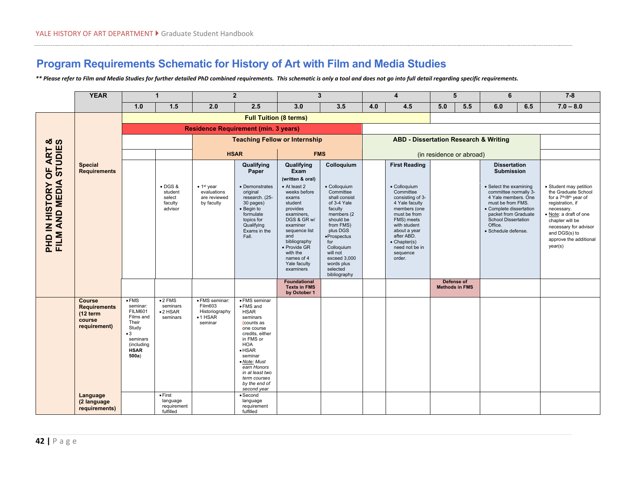# **Program Requirements Schematic for History of Art with Film and Media Studies**

*\*\* Please refer to Film and Media Studies for further detailed PhD combined requirements. This schematic is only a tool and does not go into full detail regarding specific requirements.* 

|                                     | <b>YEAR</b>                                                                | $\mathbf{1}$                                                                                                                                         |                                                                 | $\overline{2}$                                                              |                                                                                                                                                                                                                                                                | $\mathbf{3}$                                                                                                                                                                                                         |                                                                                                                                                                                                                                     | $\overline{\mathbf{4}}$ |                                                                                                                                                                                                                             | 5                                   |     | 6                                                                                                                                                                                                              |     | $7 - 8$                                                                                                                                                                                                                                                       |
|-------------------------------------|----------------------------------------------------------------------------|------------------------------------------------------------------------------------------------------------------------------------------------------|-----------------------------------------------------------------|-----------------------------------------------------------------------------|----------------------------------------------------------------------------------------------------------------------------------------------------------------------------------------------------------------------------------------------------------------|----------------------------------------------------------------------------------------------------------------------------------------------------------------------------------------------------------------------|-------------------------------------------------------------------------------------------------------------------------------------------------------------------------------------------------------------------------------------|-------------------------|-----------------------------------------------------------------------------------------------------------------------------------------------------------------------------------------------------------------------------|-------------------------------------|-----|----------------------------------------------------------------------------------------------------------------------------------------------------------------------------------------------------------------|-----|---------------------------------------------------------------------------------------------------------------------------------------------------------------------------------------------------------------------------------------------------------------|
|                                     |                                                                            | 1.0                                                                                                                                                  | 1.5                                                             | 2.0                                                                         | 2.5                                                                                                                                                                                                                                                            | 3.0                                                                                                                                                                                                                  | 3.5                                                                                                                                                                                                                                 | 4.0                     | 4.5                                                                                                                                                                                                                         | 5.0                                 | 5.5 | 6.0                                                                                                                                                                                                            | 6.5 | $7.0 - 8.0$                                                                                                                                                                                                                                                   |
|                                     |                                                                            | <b>Full Tuition (8 terms)</b>                                                                                                                        |                                                                 |                                                                             |                                                                                                                                                                                                                                                                |                                                                                                                                                                                                                      |                                                                                                                                                                                                                                     |                         |                                                                                                                                                                                                                             |                                     |     |                                                                                                                                                                                                                |     |                                                                                                                                                                                                                                                               |
|                                     |                                                                            |                                                                                                                                                      | <b>Residence Requirement (min. 3 years)</b>                     |                                                                             |                                                                                                                                                                                                                                                                |                                                                                                                                                                                                                      |                                                                                                                                                                                                                                     |                         |                                                                                                                                                                                                                             |                                     |     |                                                                                                                                                                                                                |     |                                                                                                                                                                                                                                                               |
|                                     |                                                                            |                                                                                                                                                      |                                                                 | <b>Teaching Fellow or Internship</b>                                        |                                                                                                                                                                                                                                                                |                                                                                                                                                                                                                      |                                                                                                                                                                                                                                     |                         | <b>ABD - Dissertation Research &amp; Writing</b>                                                                                                                                                                            |                                     |     |                                                                                                                                                                                                                |     |                                                                                                                                                                                                                                                               |
|                                     |                                                                            |                                                                                                                                                      |                                                                 | <b>HSAR</b>                                                                 |                                                                                                                                                                                                                                                                | <b>FMS</b>                                                                                                                                                                                                           |                                                                                                                                                                                                                                     |                         |                                                                                                                                                                                                                             | (in residence or abroad)            |     |                                                                                                                                                                                                                |     |                                                                                                                                                                                                                                                               |
| OF ART &<br>STUDIES                 | <b>Special</b><br><b>Requirements</b>                                      |                                                                                                                                                      |                                                                 |                                                                             | Qualifying<br>Paper                                                                                                                                                                                                                                            | Qualifying<br>Exam<br>(written & oral)                                                                                                                                                                               | Colloquium                                                                                                                                                                                                                          |                         | <b>First Reading</b>                                                                                                                                                                                                        |                                     |     | <b>Dissertation</b><br><b>Submission</b>                                                                                                                                                                       |     |                                                                                                                                                                                                                                                               |
| PHD IN HISTORY OF<br>FILM AND MEDIA |                                                                            |                                                                                                                                                      | $\bullet$ DGS &<br>student<br>select<br>faculty<br>advisor      | $\bullet$ 1 <sup>st</sup> year<br>evaluations<br>are reviewed<br>by faculty | • Demonstrates<br>original<br>research. (25-<br>30 pages)<br>• Begin to<br>formulate<br>topics for<br>Qualifying<br>Exams in the<br>Fall.                                                                                                                      | • At least 2<br>weeks before<br>exams<br>student<br>provides<br>examiners,<br>DGS & GR w/<br>examiner<br>sequence list<br>and<br>bibliography<br>· Provide GR<br>with the<br>names of 4<br>Yale faculty<br>examiners | · Colloquium<br>Committee<br>shall consist<br>of 3-4 Yale<br>faculty<br>members (2)<br>should be<br>from FMS)<br>plus DGS<br>·Prospectus<br>for<br>Colloquium<br>will not<br>exceed 3,000<br>words plus<br>selected<br>bibliography |                         | • Colloquium<br>Committee<br>consisting of 3-<br>4 Yale faculty<br>members (one<br>must be from<br>FMS) meets<br>with student<br>about a year<br>after ABD.<br>$\bullet$ Chapter(s)<br>need not be in<br>sequence<br>order. |                                     |     | • Select the examining<br>committee normally 3-<br>4 Yale members. One<br>must be from FMS.<br>• Complete dissertation<br>packet from Graduate<br><b>School Dissertation</b><br>Office.<br>· Schedule defense. |     | • Student may petition<br>the Graduate School<br>for a 7 <sup>th</sup> /8 <sup>th</sup> year of<br>registration, if<br>necessary.<br>· Note: a draft of one<br>chapter will be<br>necessary for advisor<br>and DGS(s) to<br>approve the additional<br>year(s) |
|                                     |                                                                            |                                                                                                                                                      |                                                                 |                                                                             |                                                                                                                                                                                                                                                                | <b>Foundational</b><br><b>Texts in FMS</b><br>by October 1                                                                                                                                                           |                                                                                                                                                                                                                                     |                         |                                                                                                                                                                                                                             | Defense of<br><b>Methods in FMS</b> |     |                                                                                                                                                                                                                |     |                                                                                                                                                                                                                                                               |
|                                     | <b>Course</b><br><b>Requirements</b><br>(12 term<br>course<br>requirement) | $\overline{\cdot}$ FMS<br>seminar:<br><b>FILM601</b><br>Films and<br>Their<br>Study<br>$\bullet$ 3<br>seminars<br>(including<br><b>HSAR</b><br>500a) | $\overline{\bullet}$ 2 FMS<br>seminars<br>$•2$ HSAR<br>seminars | · FMS seminar:<br>Film603<br>Historiography<br>$\bullet$ 1 HSAR<br>seminar  | • FMS seminar<br>• FMS and<br><b>HSAR</b><br>seminars<br>(counts as<br>one course<br>credits, either<br>in FMS or<br><b>HOA</b><br>$\bullet$ HSAR<br>seminar<br>• Note: Must<br>earn Honors<br>in at least two<br>term courses<br>by the end of<br>second year |                                                                                                                                                                                                                      |                                                                                                                                                                                                                                     |                         |                                                                                                                                                                                                                             |                                     |     |                                                                                                                                                                                                                |     |                                                                                                                                                                                                                                                               |
|                                     | Language<br>(2 language<br>requirements)                                   |                                                                                                                                                      | $\bullet$ First<br>language<br>requirement<br>fulfilled         |                                                                             | • Second<br>language<br>requirement<br>fulfilled                                                                                                                                                                                                               |                                                                                                                                                                                                                      |                                                                                                                                                                                                                                     |                         |                                                                                                                                                                                                                             |                                     |     |                                                                                                                                                                                                                |     |                                                                                                                                                                                                                                                               |